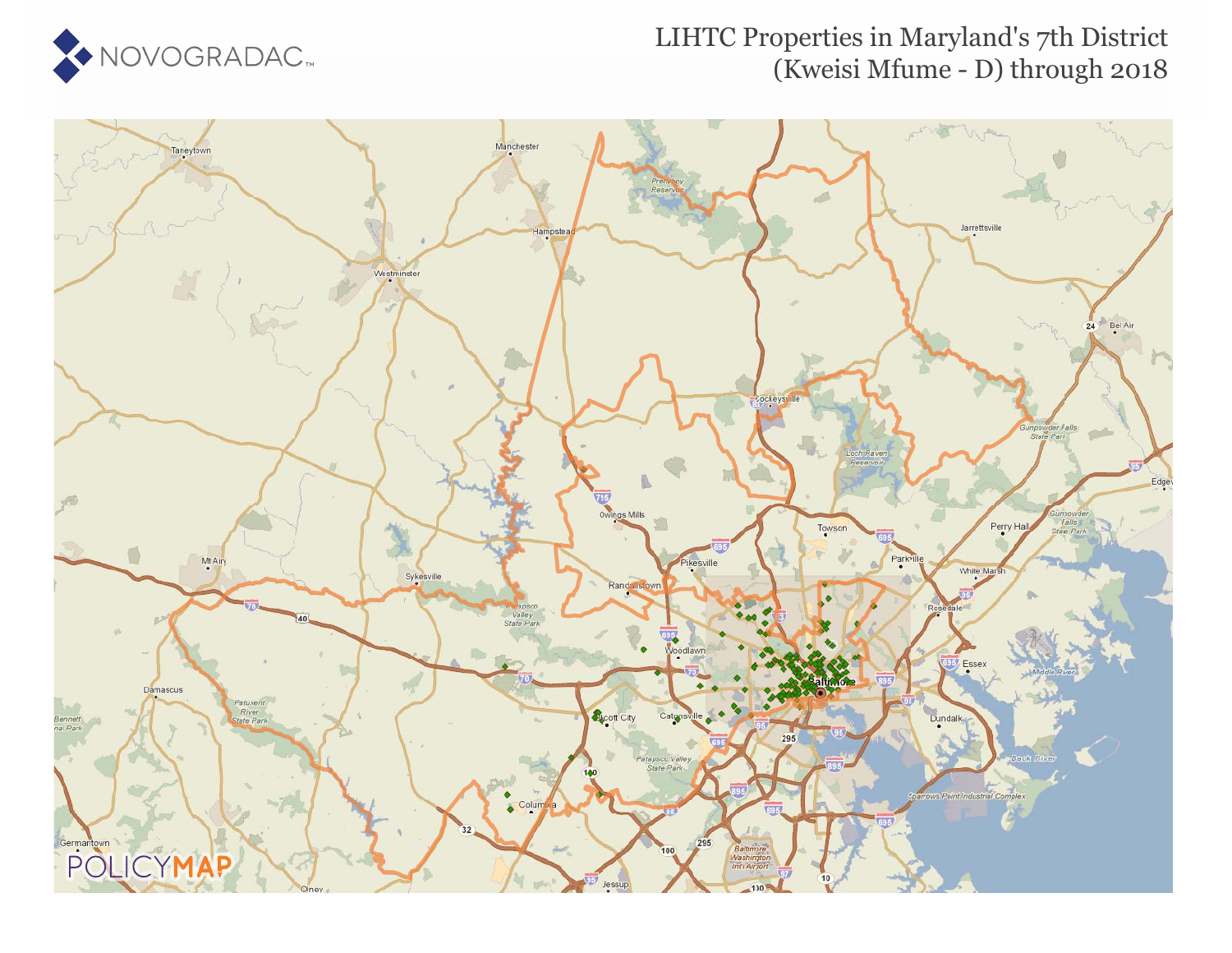

#### LIHTC Properties in Maryland's 7th District (Kweisi Mfume - D) through 2018

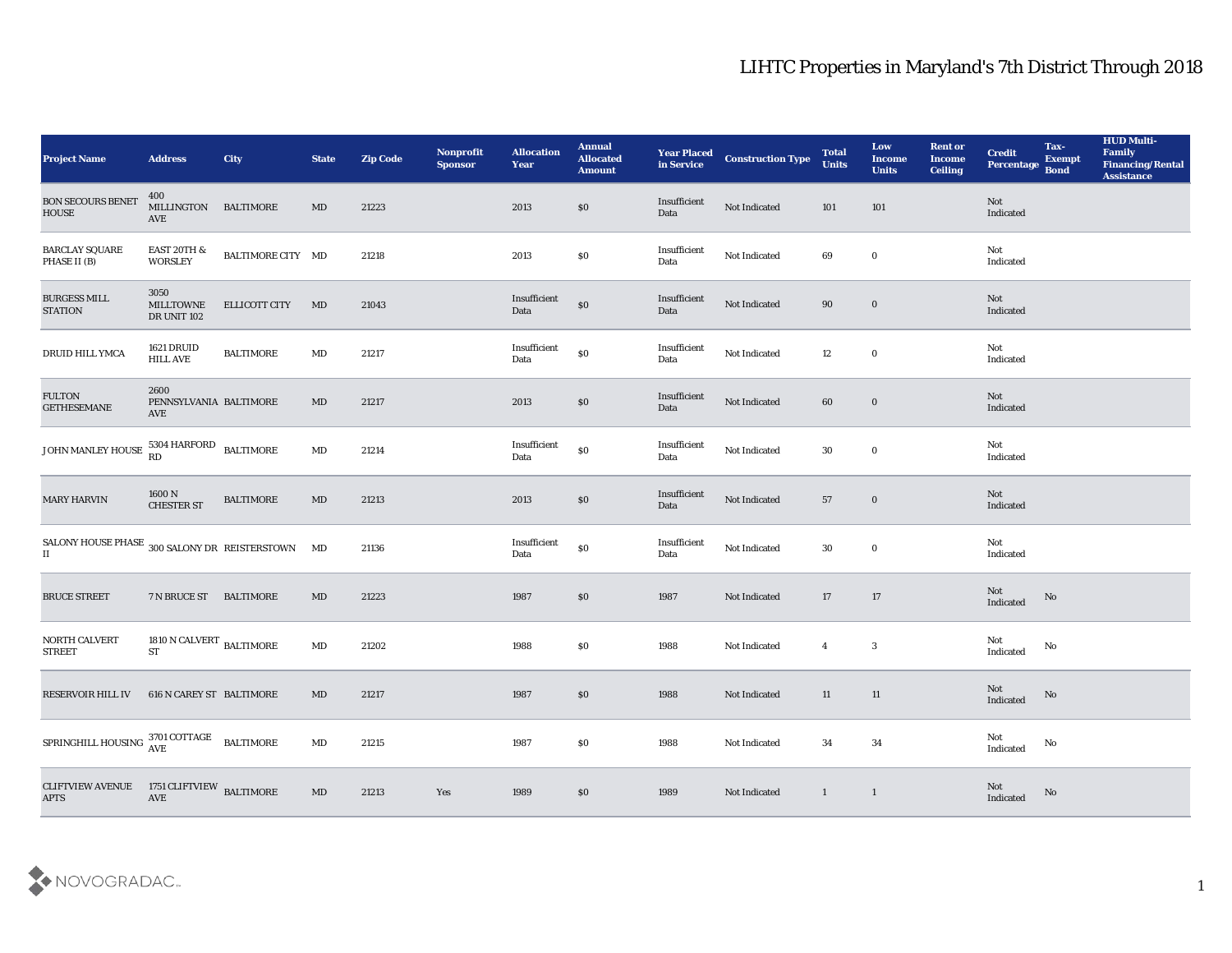| <b>Project Name</b>                                                                                       | <b>Address</b>                                 | <b>City</b>          | <b>State</b>           | <b>Zip Code</b> | Nonprofit<br><b>Sponsor</b> | <b>Allocation</b><br>Year                   | <b>Annual</b><br><b>Allocated</b><br><b>Amount</b> | <b>Year Placed</b><br>in Service | <b>Construction Type</b> | <b>Total</b><br><b>Units</b> | Low<br><b>Income</b><br><b>Units</b> | <b>Rent or</b><br><b>Income</b><br><b>Ceiling</b> | <b>Credit</b><br>Percentage | Tax-<br><b>Exempt</b><br><b>Bond</b> | <b>HUD Multi-</b><br>Family<br><b>Financing/Rental</b><br><b>Assistance</b> |
|-----------------------------------------------------------------------------------------------------------|------------------------------------------------|----------------------|------------------------|-----------------|-----------------------------|---------------------------------------------|----------------------------------------------------|----------------------------------|--------------------------|------------------------------|--------------------------------------|---------------------------------------------------|-----------------------------|--------------------------------------|-----------------------------------------------------------------------------|
| <b>BON SECOURS BENET</b><br><b>HOUSE</b>                                                                  | 400<br>MILLINGTON<br>AVE                       | <b>BALTIMORE</b>     | MD                     | 21223           |                             | 2013                                        | $\$0$                                              | Insufficient<br>Data             | Not Indicated            | 101                          | 101                                  |                                                   | Not<br>Indicated            |                                      |                                                                             |
| <b>BARCLAY SQUARE</b><br>PHASE II (B)                                                                     | <b>EAST 20TH &amp;</b><br><b>WORSLEY</b>       | BALTIMORE CITY MD    |                        | 21218           |                             | 2013                                        | $\$0$                                              | Insufficient<br>Data             | Not Indicated            | 69                           | $\bf{0}$                             |                                                   | Not<br>Indicated            |                                      |                                                                             |
| <b>BURGESS MILL</b><br><b>STATION</b>                                                                     | 3050<br><b>MILLTOWNE</b><br><b>DR UNIT 102</b> | <b>ELLICOTT CITY</b> | MD                     | 21043           |                             | Insufficient<br>Data                        | $\$0$                                              | Insufficient<br>Data             | Not Indicated            | 90                           | $\bf{0}$                             |                                                   | Not<br>Indicated            |                                      |                                                                             |
| DRUID HILL YMCA                                                                                           | 1621 DRUID<br><b>HILL AVE</b>                  | <b>BALTIMORE</b>     | MD                     | 21217           |                             | $\label{lem:optimal} In sufficient$<br>Data | $\$0$                                              | Insufficient<br>Data             | Not Indicated            | 12                           | $\bf{0}$                             |                                                   | Not<br>Indicated            |                                      |                                                                             |
| <b>FULTON</b><br><b>GETHESEMANE</b>                                                                       | 2600<br>PENNSYLVANIA BALTIMORE<br>AVE          |                      | MD                     | 21217           |                             | 2013                                        | \$0                                                | Insufficient<br>Data             | Not Indicated            | 60                           | $\bf{0}$                             |                                                   | Not<br>Indicated            |                                      |                                                                             |
| JOHN MANLEY HOUSE $\begin{array}{c} 5304 \text{ HARFORM} \\ \text{RD} \end{array}$ BALTIMORE              |                                                |                      | MD                     | 21214           |                             | Insufficient<br>Data                        | $\$0$                                              | Insufficient<br>Data             | Not Indicated            | 30                           | $\bf{0}$                             |                                                   | Not<br>Indicated            |                                      |                                                                             |
| <b>MARY HARVIN</b>                                                                                        | $1600$ N $\,$ CHESTER ST                       | <b>BALTIMORE</b>     | $\mathbf{M}\mathbf{D}$ | 21213           |                             | 2013                                        | \$0                                                | Insufficient<br>Data             | Not Indicated            | 57                           | $\bf{0}$                             |                                                   | Not<br>Indicated            |                                      |                                                                             |
| SALONY HOUSE PHASE $\,$ 300 SALONY DR $\,$ REISTERSTOWN<br>$\mathbf{I}$                                   |                                                |                      | MD                     | 21136           |                             | Insufficient<br>Data                        | $\$0$                                              | Insufficient<br>Data             | Not Indicated            | 30                           | $\bf{0}$                             |                                                   | Not<br>Indicated            |                                      |                                                                             |
| BRUCE STREET                                                                                              | 7 N BRUCE ST                                   | <b>BALTIMORE</b>     | $\mathbf{M}\mathbf{D}$ | 21223           |                             | 1987                                        | \$0                                                | 1987                             | Not Indicated            | 17                           | 17                                   |                                                   | Not<br>Indicated            | No                                   |                                                                             |
| NORTH CALVERT<br><b>STREET</b>                                                                            | 1810 N CALVERT $_{\rm BALTIMORE}$<br><b>ST</b> |                      | MD                     | 21202           |                             | 1988                                        | \$0                                                | 1988                             | Not Indicated            | $\overline{4}$               | $\mathbf{3}$                         |                                                   | Not<br>Indicated            | No                                   |                                                                             |
| <b>RESERVOIR HILL IV</b>                                                                                  | 616 N CAREY ST BALTIMORE                       |                      | MD                     | 21217           |                             | 1987                                        | \$0                                                | 1988                             | Not Indicated            | 11                           | 11                                   |                                                   | Not<br>Indicated            | No                                   |                                                                             |
| ${\small \bf SPRINGHILL\; HOUSING} \begin{tabular}{ll} \bf 3701\; COTTAGE & \bf  BALTIMORE \end{tabular}$ |                                                |                      | $\mathbf{M}\mathbf{D}$ | 21215           |                             | 1987                                        | $\$0$                                              | 1988                             | Not Indicated            | $\bf{34}$                    | 34                                   |                                                   | Not<br>Indicated            | $\mathbf {No}$                       |                                                                             |
| <b>CLIFTVIEW AVENUE</b><br><b>APTS</b>                                                                    | 1751 CLIFTVIEW $\,$ BALTIMORE AVE              |                      | $\rm MD$               | 21213           | Yes                         | 1989                                        | $\$0$                                              | 1989                             | Not Indicated            | $\mathbf{1}$                 | $\overline{1}$                       |                                                   | Not<br>Indicated            | $\rm No$                             |                                                                             |

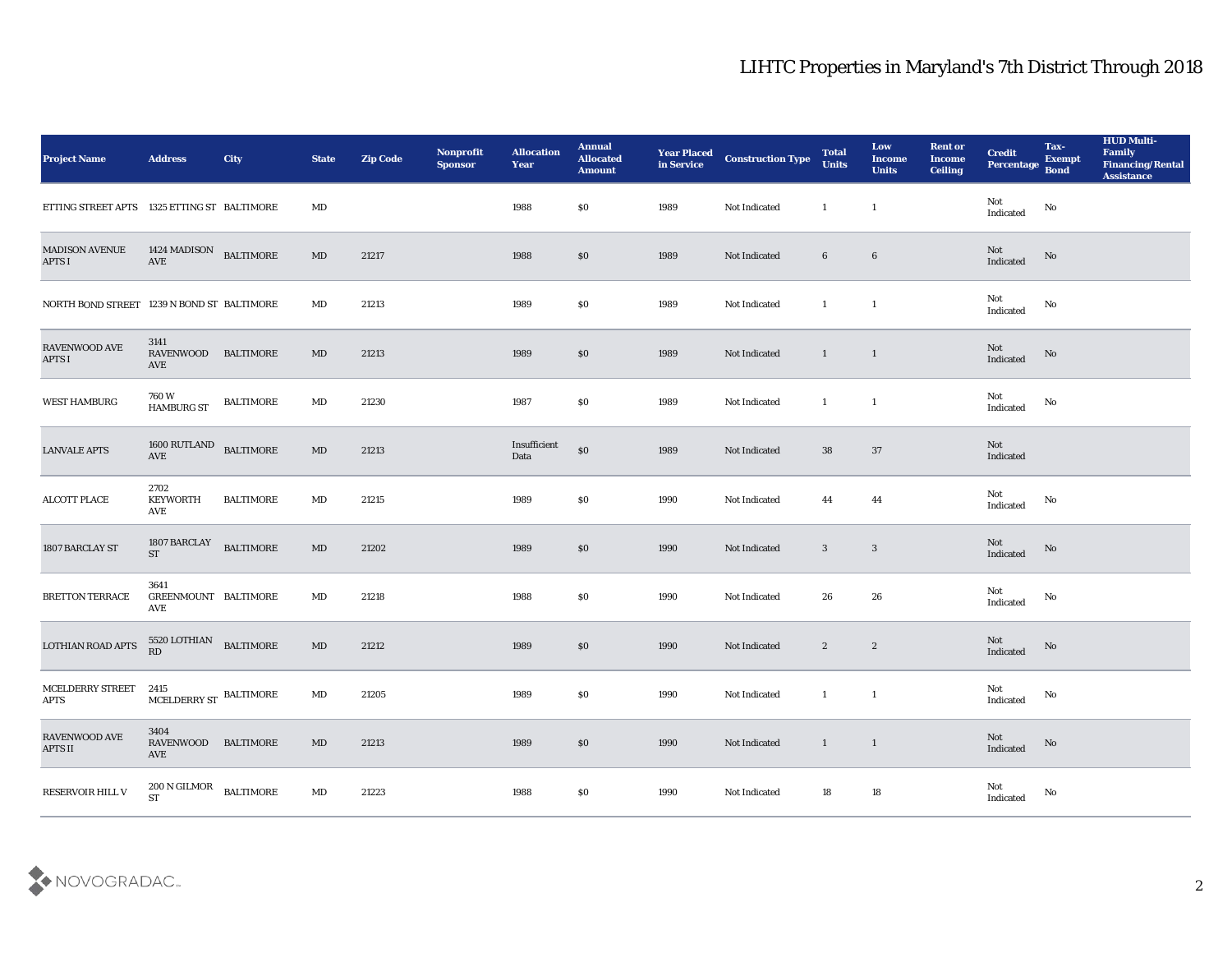| <b>Project Name</b>                         | <b>Address</b>                                    | <b>City</b>      | <b>State</b>           | <b>Zip Code</b> | Nonprofit<br><b>Sponsor</b> | <b>Allocation</b><br>Year | <b>Annual</b><br><b>Allocated</b><br><b>Amount</b> | <b>Year Placed<br/>in Service</b> | <b>Construction Type</b> | <b>Total</b><br><b>Units</b> | Low<br><b>Income</b><br><b>Units</b> | <b>Rent or</b><br><b>Income</b><br><b>Ceiling</b> | <b>Credit</b><br>Percentage Bond      | Tax-<br><b>Exempt</b> | <b>HUD Multi-</b><br>Family<br><b>Financing/Rental</b><br><b>Assistance</b> |
|---------------------------------------------|---------------------------------------------------|------------------|------------------------|-----------------|-----------------------------|---------------------------|----------------------------------------------------|-----------------------------------|--------------------------|------------------------------|--------------------------------------|---------------------------------------------------|---------------------------------------|-----------------------|-----------------------------------------------------------------------------|
| ETTING STREET APTS 1325 ETTING ST BALTIMORE |                                                   |                  | MD                     |                 |                             | 1988                      | \$0                                                | 1989                              | Not Indicated            | $\mathbf{1}$                 | $\mathbf{1}$                         |                                                   | Not<br>Indicated                      | $\rm No$              |                                                                             |
| <b>MADISON AVENUE</b><br><b>APTS I</b>      | 1424 MADISON BALTIMORE<br>$\operatorname{AVE}$    |                  | MD                     | 21217           |                             | 1988                      | $\$0$                                              | 1989                              | Not Indicated            | $6\phantom{.0}$              | $6\phantom{.}6$                      |                                                   | $\operatorname{\bf Not}$<br>Indicated | No                    |                                                                             |
| NORTH BOND STREET 1239 N BOND ST BALTIMORE  |                                                   |                  | MD                     | 21213           |                             | 1989                      | \$0                                                | 1989                              | Not Indicated            | $\mathbf{1}$                 | $\mathbf{1}$                         |                                                   | Not<br>Indicated                      | No                    |                                                                             |
| RAVENWOOD AVE<br><b>APTS I</b>              | 3141<br>RAVENWOOD<br>AVE                          | <b>BALTIMORE</b> | MD                     | 21213           |                             | 1989                      | \$0                                                | 1989                              | Not Indicated            | $\mathbf{1}$                 | $\blacksquare$                       |                                                   | Not<br>Indicated                      | No                    |                                                                             |
| <b>WEST HAMBURG</b>                         | 760 W<br><b>HAMBURG ST</b>                        | <b>BALTIMORE</b> | $\mathbf{M}\mathbf{D}$ | 21230           |                             | 1987                      | \$0                                                | 1989                              | Not Indicated            | $\mathbf{1}$                 | $\mathbf{1}$                         |                                                   | Not<br>Indicated                      | No                    |                                                                             |
| <b>LANVALE APTS</b>                         | $1600 \; {\rm RUTLAND} \quad {\rm BALTIMORE}$ AVE |                  | $\mathbf{M}\mathbf{D}$ | 21213           |                             | Insufficient<br>Data      | $\$0$                                              | 1989                              | Not Indicated            | 38                           | 37                                   |                                                   | Not<br>Indicated                      |                       |                                                                             |
| <b>ALCOTT PLACE</b>                         | 2702<br><b>KEYWORTH</b><br>AVE                    | <b>BALTIMORE</b> | MD                     | 21215           |                             | 1989                      | \$0                                                | 1990                              | Not Indicated            | 44                           | 44                                   |                                                   | Not<br>$\operatorname{Indicated}$     | No                    |                                                                             |
| 1807 BARCLAY ST                             | 1807 BARCLAY<br><b>ST</b>                         | <b>BALTIMORE</b> | $\mathbf{M}\mathbf{D}$ | 21202           |                             | 1989                      | \$0                                                | 1990                              | Not Indicated            | $\mathbf{3}$                 | $\mathbf{3}$                         |                                                   | Not<br>Indicated                      | No                    |                                                                             |
| <b>BRETTON TERRACE</b>                      | 3641<br>GREENMOUNT BALTIMORE<br>AVE               |                  | MD                     | 21218           |                             | 1988                      | \$0                                                | 1990                              | Not Indicated            | 26                           | 26                                   |                                                   | Not<br>Indicated                      | No                    |                                                                             |
| <b>LOTHIAN ROAD APTS</b>                    | 5520 LOTHIAN<br>RD                                | <b>BALTIMORE</b> | MD                     | 21212           |                             | 1989                      | $\$0$                                              | 1990                              | Not Indicated            | $\mathbf{2}$                 | $\boldsymbol{2}$                     |                                                   | Not<br>Indicated                      | No                    |                                                                             |
| MCELDERRY STREET 2415<br><b>APTS</b>        | MCELDERRY ST BALTIMORE                            |                  | MD                     | 21205           |                             | 1989                      | \$0                                                | 1990                              | Not Indicated            | $\mathbf{1}$                 | <sup>1</sup>                         |                                                   | Not<br>Indicated                      | No                    |                                                                             |
| RAVENWOOD AVE<br>APTS II                    | 3404<br>RAVENWOOD BALTIMORE<br>AVE                |                  | $\mathbf{M}\mathbf{D}$ | 21213           |                             | 1989                      | $\$0$                                              | 1990                              | Not Indicated            | $\mathbf{1}$<br>$\sim$ 1     |                                      |                                                   | Not<br>Indicated                      | $\rm \bf No$          |                                                                             |
| RESERVOIR HILL V                            | $200$ N GILMOR $\quad$ BALTIMORE<br>ST            |                  | $\mathbf{M}\mathbf{D}$ | 21223           |                             | 1988                      | $\$0$                                              | 1990                              | Not Indicated            | 18                           | 18                                   |                                                   | Not<br>Indicated                      | $\mathbf {No}$        |                                                                             |

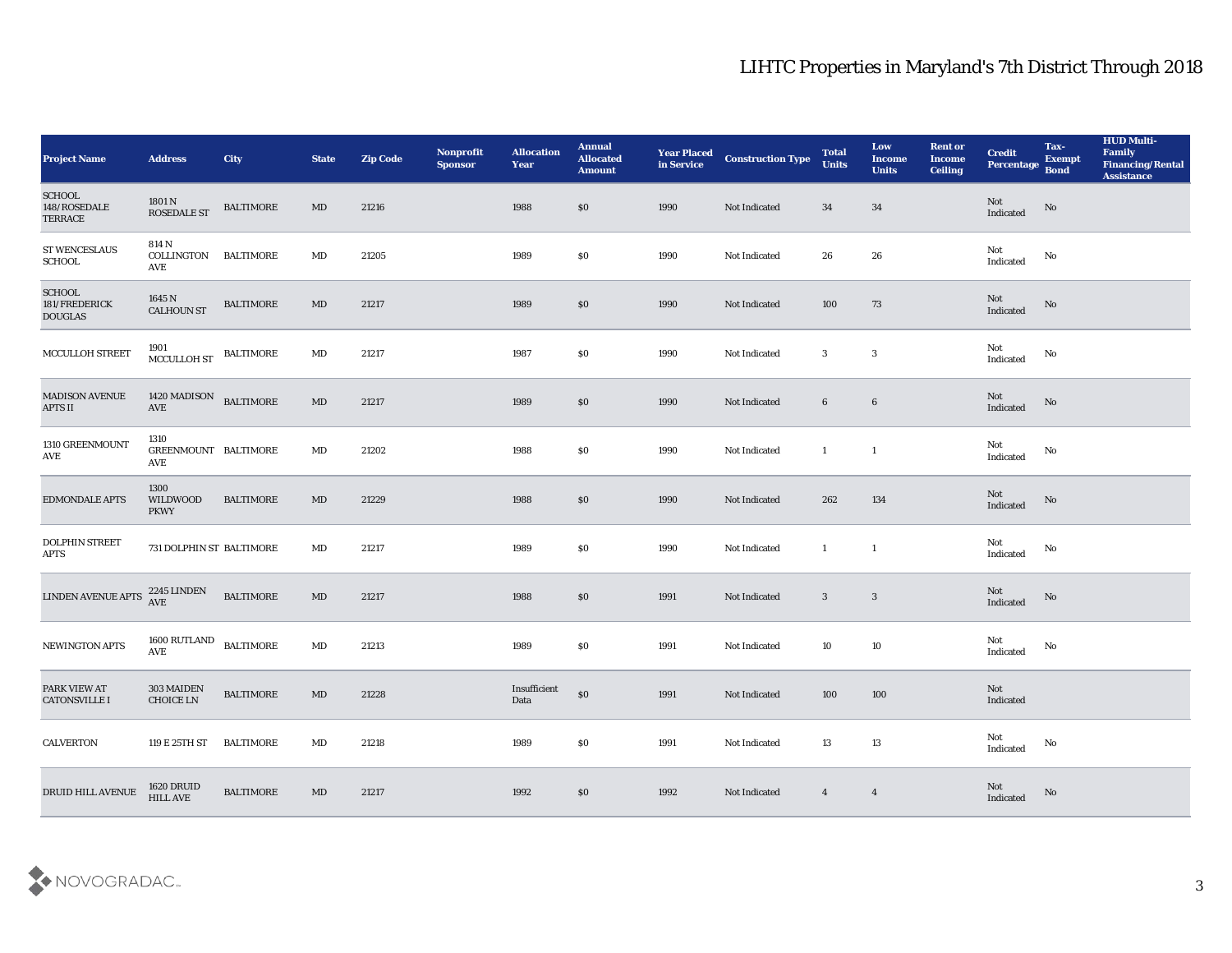| <b>Project Name</b>                              | <b>Address</b>                       | <b>City</b>      | <b>State</b>           | <b>Zip Code</b> | Nonprofit<br><b>Sponsor</b> | <b>Allocation</b><br>Year | <b>Annual</b><br><b>Allocated</b><br><b>Amount</b> | <b>Year Placed<br/>in Service</b> | <b>Construction Type</b> | <b>Total</b><br><b>Units</b> | Low<br><b>Income</b><br><b>Units</b> | <b>Rent or</b><br><b>Income</b><br><b>Ceiling</b> | <b>Credit</b><br>Percentage Bond                                            | Tax-<br><b>Exempt</b> | <b>HUD Multi-</b><br>Family<br><b>Financing/Rental</b><br>Assistance |
|--------------------------------------------------|--------------------------------------|------------------|------------------------|-----------------|-----------------------------|---------------------------|----------------------------------------------------|-----------------------------------|--------------------------|------------------------------|--------------------------------------|---------------------------------------------------|-----------------------------------------------------------------------------|-----------------------|----------------------------------------------------------------------|
| SCHOOL<br>148/ROSEDALE<br><b>TERRACE</b>         | 1801 N<br><b>ROSEDALE ST</b>         | <b>BALTIMORE</b> | MD                     | 21216           |                             | 1988                      | $\$0$                                              | 1990                              | Not Indicated            | 34                           | 34                                   |                                                   | Not<br>Indicated                                                            | $\rm \bf No$          |                                                                      |
| ST WENCESLAUS<br><b>SCHOOL</b>                   | 814 N<br>COLLINGTON<br>AVE           | <b>BALTIMORE</b> | MD                     | 21205           |                             | 1989                      | \$0                                                | 1990                              | Not Indicated            | 26                           | 26                                   |                                                   | Not<br>Indicated                                                            | No                    |                                                                      |
| <b>SCHOOL</b><br>181/FREDERICK<br><b>DOUGLAS</b> | 1645 N<br><b>CALHOUN ST</b>          | <b>BALTIMORE</b> | MD                     | 21217           |                             | 1989                      | $\$0$                                              | 1990                              | Not Indicated            | 100                          | 73                                   |                                                   | Not<br>Indicated                                                            | No                    |                                                                      |
| MCCULLOH STREET                                  | 1901<br>MCCULLOH ST                  | <b>BALTIMORE</b> | $\mathbf{M}\mathbf{D}$ | 21217           |                             | 1987                      | \$0                                                | 1990                              | Not Indicated            | 3                            | 3                                    |                                                   | Not<br>$\label{thm:indicated} \textbf{Indicated}$                           | No                    |                                                                      |
| <b>MADISON AVENUE</b><br><b>APTS II</b>          | 1420 MADISON<br>AVE                  | <b>BALTIMORE</b> | MD                     | 21217           |                             | 1989                      | $\$0$                                              | 1990                              | Not Indicated            | 6                            | $6\phantom{.}6$                      |                                                   | Not<br>Indicated                                                            | No                    |                                                                      |
| 1310 GREENMOUNT<br>AVE                           | 1310<br>GREENMOUNT BALTIMORE<br>AVE  |                  | MD                     | 21202           |                             | 1988                      | \$0                                                | 1990                              | Not Indicated            | $\mathbf{1}$                 | $\mathbf{1}$                         |                                                   | Not<br>$\operatorname{Indicated}$                                           | No                    |                                                                      |
| <b>EDMONDALE APTS</b>                            | 1300<br>WILDWOOD<br><b>PKWY</b>      | <b>BALTIMORE</b> | MD                     | 21229           |                             | 1988                      | $\$0$                                              | 1990                              | Not Indicated            | 262                          | 134                                  |                                                   | Not<br>Indicated                                                            | No                    |                                                                      |
| <b>DOLPHIN STREET</b><br><b>APTS</b>             | 731 DOLPHIN ST BALTIMORE             |                  | MD                     | 21217           |                             | 1989                      | \$0                                                | 1990                              | Not Indicated            | $\mathbf{1}$                 | $\mathbf{1}$                         |                                                   | Not<br>Indicated                                                            | No                    |                                                                      |
| LINDEN AVENUE APTS                               | 2245 LINDEN<br>AVE                   | <b>BALTIMORE</b> | $\mathbf{M}\mathbf{D}$ | 21217           |                             | 1988                      | $\$0$                                              | 1991                              | Not Indicated            | $\mathbf{3}$                 | $\mathbf{3}$                         |                                                   | Not<br>Indicated                                                            | $\rm No$              |                                                                      |
| <b>NEWINGTON APTS</b>                            | 1600 RUTLAND<br>$\operatorname{AVE}$ | <b>BALTIMORE</b> | MD                     | 21213           |                             | 1989                      | $\$0$                                              | 1991                              | <b>Not Indicated</b>     | 10                           | 10                                   |                                                   | Not<br>Indicated                                                            | No                    |                                                                      |
| PARK VIEW AT<br><b>CATONSVILLE I</b>             | 303 MAIDEN<br>CHOICE LN              | <b>BALTIMORE</b> | MD                     | 21228           |                             | Insufficient<br>Data      | $\$0$                                              | 1991                              | Not Indicated            | 100                          | 100                                  |                                                   | Not<br>Indicated                                                            |                       |                                                                      |
| <b>CALVERTON</b>                                 | 119 E 25TH ST                        | <b>BALTIMORE</b> | $\mathbf{M}\mathbf{D}$ | 21218           |                             | 1989                      | $\$0$                                              | 1991                              | Not Indicated            | $13\,$                       | $13\,$                               |                                                   | $\operatorname{\mathsf{Not}}$<br>$\label{thm:indicated} \textbf{Indicated}$ | No                    |                                                                      |
| DRUID HILL AVENUE                                | 1620 DRUID<br>HILL AVE               | <b>BALTIMORE</b> | $\mathbf{M}\mathbf{D}$ | 21217           |                             | 1992                      | $\$0$                                              | 1992                              | Not Indicated            | $\overline{4}$               | $\overline{4}$                       |                                                   | Not<br>Indicated                                                            | No                    |                                                                      |

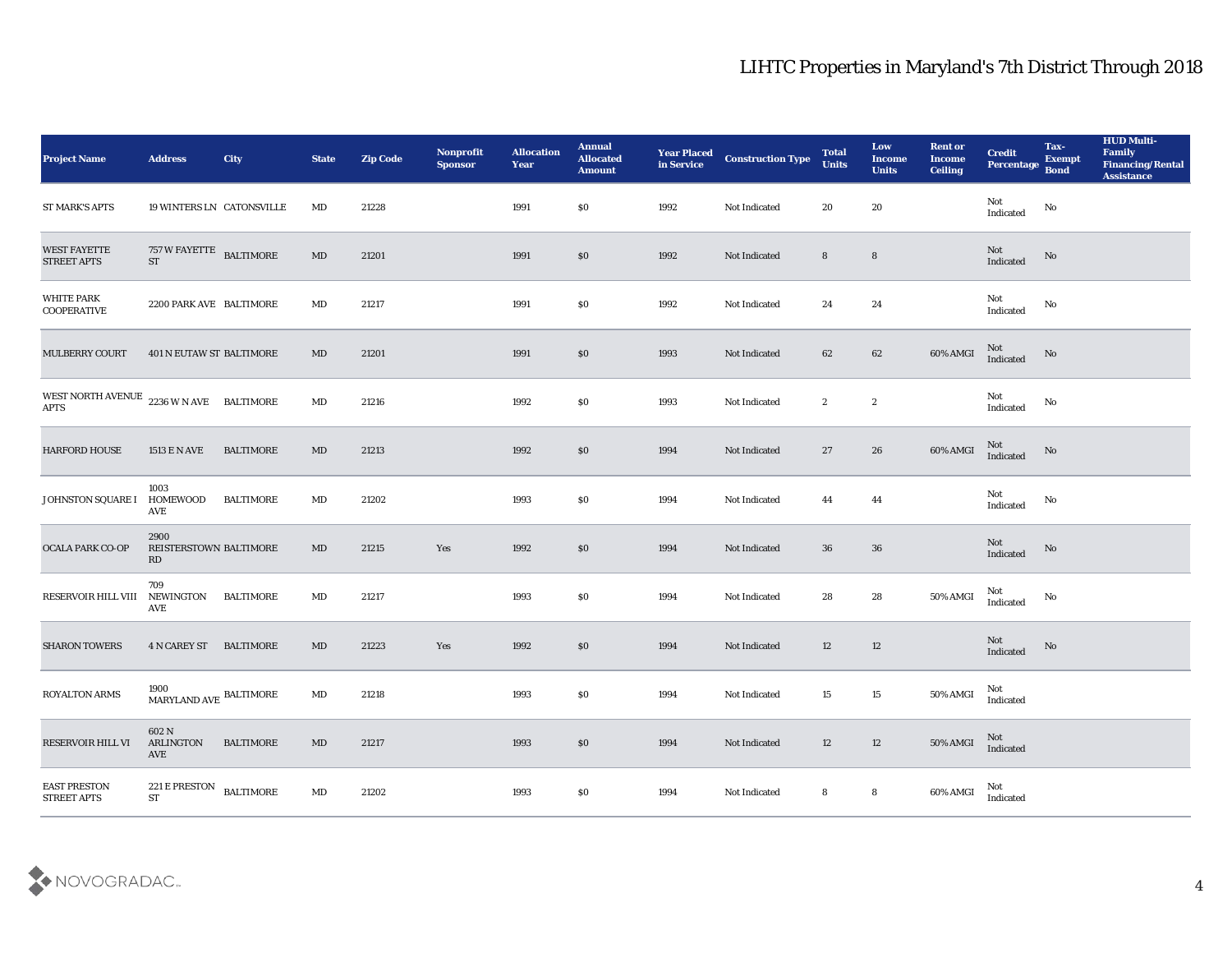| <b>Project Name</b>                                       | <b>Address</b>                                   | <b>City</b>      | <b>State</b>           | <b>Zip Code</b> | Nonprofit<br><b>Sponsor</b> | <b>Allocation</b><br><b>Year</b> | <b>Annual</b><br><b>Allocated</b><br><b>Amount</b> | <b>Year Placed<br/>in Service</b> | <b>Construction Type</b> | <b>Total</b><br><b>Units</b> | Low<br><b>Income</b><br><b>Units</b> | <b>Rent or</b><br><b>Income</b><br><b>Ceiling</b> | <b>Credit</b><br>Percentage                | Tax-<br><b>Exempt</b><br><b>Bond</b> | <b>HUD Multi-</b><br>Family<br><b>Financing/Rental</b><br><b>Assistance</b> |
|-----------------------------------------------------------|--------------------------------------------------|------------------|------------------------|-----------------|-----------------------------|----------------------------------|----------------------------------------------------|-----------------------------------|--------------------------|------------------------------|--------------------------------------|---------------------------------------------------|--------------------------------------------|--------------------------------------|-----------------------------------------------------------------------------|
| <b>ST MARK'S APTS</b>                                     | <b>19 WINTERS LN CATONSVILLE</b>                 |                  | MD                     | 21228           |                             | 1991                             | $\$0$                                              | 1992                              | Not Indicated            | 20                           | 20                                   |                                                   | Not<br>Indicated                           | No                                   |                                                                             |
| <b>WEST FAYETTE</b><br><b>STREET APTS</b>                 | 757 W FAYETTE BALTIMORE<br><b>ST</b>             |                  | MD                     | 21201           |                             | 1991                             | $\$0$                                              | 1992                              | Not Indicated            | 8                            | $8\phantom{1}$                       |                                                   | $\operatorname{\mathbf{Not}}$<br>Indicated | No                                   |                                                                             |
| <b>WHITE PARK</b><br><b>COOPERATIVE</b>                   | 2200 PARK AVE BALTIMORE                          |                  | MD                     | 21217           |                             | 1991                             | \$0                                                | 1992                              | Not Indicated            | 24                           | 24                                   |                                                   | Not<br>Indicated                           | No                                   |                                                                             |
| <b>MULBERRY COURT</b>                                     | <b>401 N EUTAW ST BALTIMORE</b>                  |                  | MD                     | 21201           |                             | 1991                             | $\$0$                                              | 1993                              | Not Indicated            | 62                           | $62\,$                               | 60% AMGI                                          | Not<br>Indicated                           | No                                   |                                                                             |
| WEST NORTH AVENUE $2236$ W N AVE BALTIMORE<br><b>APTS</b> |                                                  |                  | MD                     | 21216           |                             | 1992                             | \$0                                                | 1993                              | Not Indicated            | $\boldsymbol{2}$             | $\boldsymbol{2}$                     |                                                   | Not<br>Indicated                           | No                                   |                                                                             |
| <b>HARFORD HOUSE</b>                                      | 1513 E N AVE                                     | <b>BALTIMORE</b> | MD                     | 21213           |                             | 1992                             | $\$0$                                              | 1994                              | Not Indicated            | 27                           | 26                                   | 60% AMGI                                          | Not<br>$\operatorname{Indicated}$          | No                                   |                                                                             |
| JOHNSTON SQUARE I                                         | 1003<br>HOMEWOOD<br>AVE                          | <b>BALTIMORE</b> | MD                     | 21202           |                             | 1993                             | \$0                                                | 1994                              | Not Indicated            | 44                           | 44                                   |                                                   | Not<br>Indicated                           | No                                   |                                                                             |
| <b>OCALA PARK CO-OP</b>                                   | 2900<br>REISTERSTOWN BALTIMORE<br>RD             |                  | MD                     | 21215           | Yes                         | 1992                             | \$0                                                | 1994                              | Not Indicated            | 36                           | 36                                   |                                                   | Not<br>Indicated                           | No                                   |                                                                             |
| RESERVOIR HILL VIII                                       | 709<br>NEWINGTON<br>AVE                          | BALTIMORE        | MD                     | 21217           |                             | 1993                             | \$0                                                | 1994                              | <b>Not Indicated</b>     | 28                           | 28                                   | 50% AMGI                                          | Not<br>Indicated                           | No                                   |                                                                             |
| <b>SHARON TOWERS</b>                                      | <b>4 N CAREY ST</b>                              | BALTIMORE        | MD                     | 21223           | Yes                         | 1992                             | $\$0$                                              | 1994                              | Not Indicated            | 12                           | 12                                   |                                                   | <b>Not</b><br>Indicated                    | No                                   |                                                                             |
| <b>ROYALTON ARMS</b>                                      | 1900<br>$\mbox{MARYLAND}$ AVE $\mbox{BALTIMORE}$ |                  | MD                     | 21218           |                             | 1993                             | \$0                                                | 1994                              | Not Indicated            | 15                           | 15                                   | 50% AMGI                                          | Not<br>Indicated                           |                                      |                                                                             |
| RESERVOIR HILL VI                                         | 602 N<br>ARLINGTON<br>AVE                        | <b>BALTIMORE</b> | $\mathbf{M}\mathbf{D}$ | 21217           |                             | 1993                             | $\$0$                                              | 1994                              | Not Indicated            | 12                           | 12                                   | 50% AMGI                                          | $\rm Not$ Indicated                        |                                      |                                                                             |
| <b>EAST PRESTON</b><br>STREET APTS                        | 221 E PRESTON<br>ST                              | <b>BALTIMORE</b> | $\mathbf{M}\mathbf{D}$ | 21202           |                             | 1993                             | $\$0$                                              | 1994                              | Not Indicated            | 8                            | ${\bf 8}$                            | 60% AMGI                                          | Not<br>Indicated                           |                                      |                                                                             |

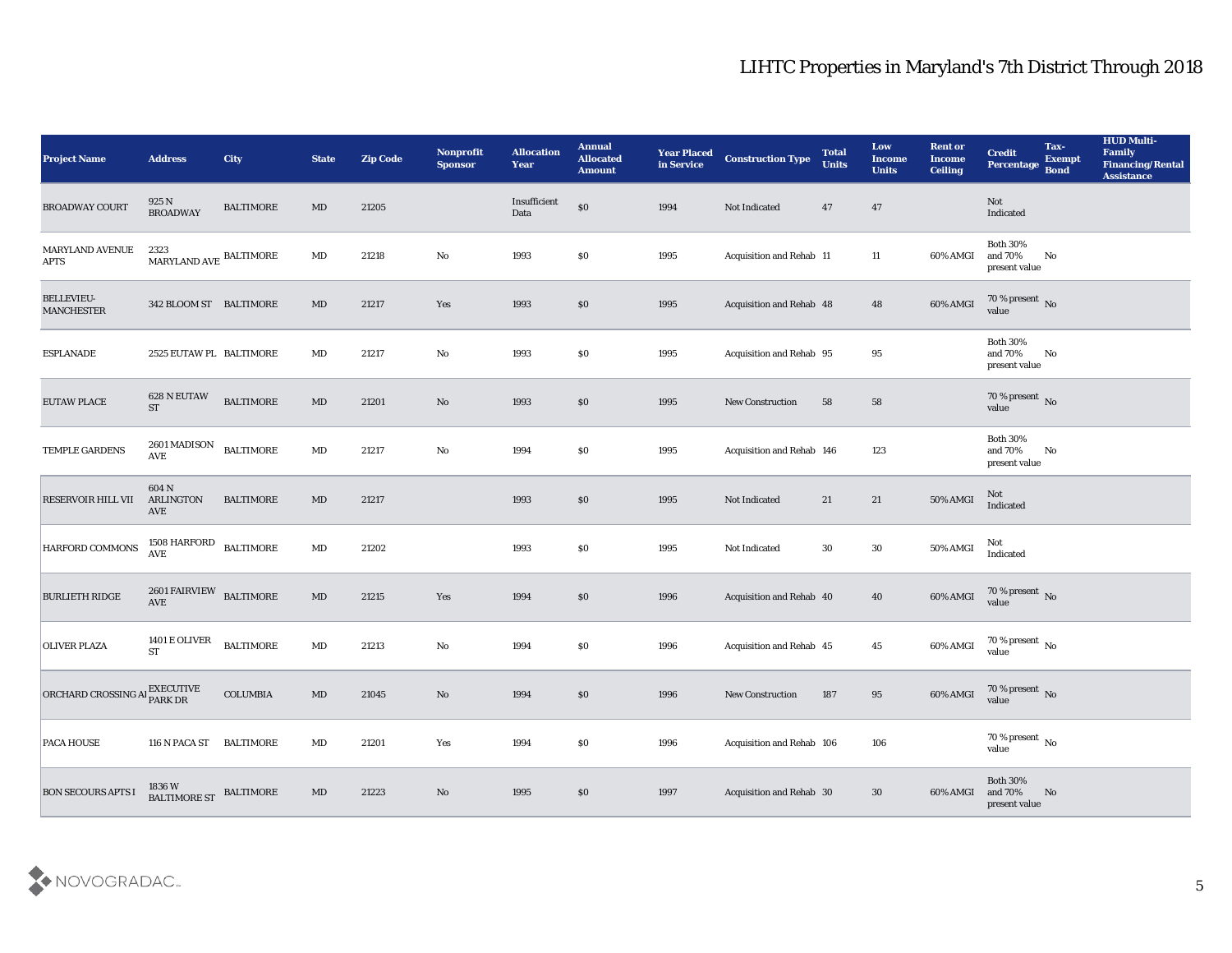| <b>Project Name</b>                    | <b>Address</b>                                                    | City             | <b>State</b>           | <b>Zip Code</b> | Nonprofit<br><b>Sponsor</b> | <b>Allocation</b><br><b>Year</b> | <b>Annual</b><br><b>Allocated</b><br><b>Amount</b> | <b>Year Placed<br/>in Service</b> | <b>Construction Type</b>  | <b>Total</b><br><b>Units</b> | Low<br><b>Income</b><br><b>Units</b> | <b>Rent or</b><br><b>Income</b><br><b>Ceiling</b> | <b>Credit</b><br>Percentage                    | Tax-<br><b>Exempt</b><br><b>Bond</b> | <b>HUD Multi-</b><br>Family<br><b>Financing/Rental</b><br><b>Assistance</b> |
|----------------------------------------|-------------------------------------------------------------------|------------------|------------------------|-----------------|-----------------------------|----------------------------------|----------------------------------------------------|-----------------------------------|---------------------------|------------------------------|--------------------------------------|---------------------------------------------------|------------------------------------------------|--------------------------------------|-----------------------------------------------------------------------------|
| <b>BROADWAY COURT</b>                  | 925 N<br><b>BROADWAY</b>                                          | <b>BALTIMORE</b> | MD                     | 21205           |                             | Insufficient<br>Data             | $\$0$                                              | 1994                              | Not Indicated             | 47                           | 47                                   |                                                   | Not<br>Indicated                               |                                      |                                                                             |
| MARYLAND AVENUE<br><b>APTS</b>         | 2323<br>$\mbox{MARYLAND}$ AVE $\mbox{BALTIMORE}$                  |                  | MD                     | 21218           | $\mathbf{N}\mathbf{o}$      | 1993                             | \$0                                                | 1995                              | Acquisition and Rehab 11  |                              | 11                                   | 60% AMGI                                          | <b>Both 30%</b><br>and 70%<br>present value    | No                                   |                                                                             |
| <b>BELLEVIEU-</b><br><b>MANCHESTER</b> | 342 BLOOM ST BALTIMORE                                            |                  | MD                     | 21217           | Yes                         | 1993                             | \$0                                                | 1995                              | Acquisition and Rehab 48  |                              | 48                                   | 60% AMGI                                          | $70\,\%$ present $\,$ No value                 |                                      |                                                                             |
| <b>ESPLANADE</b>                       | 2525 EUTAW PL BALTIMORE                                           |                  | MD                     | 21217           | No                          | 1993                             | \$0                                                | 1995                              | Acquisition and Rehab 95  |                              | 95                                   |                                                   | <b>Both 30%</b><br>and 70%<br>present value    | No                                   |                                                                             |
| EUTAW PLACE                            | 628 N EUTAW<br><b>ST</b>                                          | <b>BALTIMORE</b> | MD                     | 21201           | No                          | 1993                             | \$0                                                | 1995                              | <b>New Construction</b>   | 58                           | 58                                   |                                                   | $70\,\%$ present $\,$ No value                 |                                      |                                                                             |
| TEMPLE GARDENS                         | 2601 MADISON<br>$\operatorname{AVE}$                              | <b>BALTIMORE</b> | $\mathbf{M}\mathbf{D}$ | 21217           | $\mathbf {No}$              | 1994                             | \$0                                                | 1995                              | Acquisition and Rehab 146 |                              | 123                                  |                                                   | <b>Both 30%</b><br>and $70\%$<br>present value | No                                   |                                                                             |
| <b>RESERVOIR HILL VII</b>              | 604 N<br><b>ARLINGTON</b><br>AVE                                  | <b>BALTIMORE</b> | MD                     | 21217           |                             | 1993                             | \$0                                                | 1995                              | Not Indicated             | 21                           | 21                                   | <b>50% AMGI</b>                                   | Not<br>Indicated                               |                                      |                                                                             |
| HARFORD COMMONS                        | $1508$ HARFORD $\;$ BALTIMORE<br>$\mathbf{A}\mathbf{V}\mathbf{E}$ |                  | $\rm MD$               | 21202           |                             | 1993                             | \$0                                                | 1995                              | Not Indicated             | 30                           | 30                                   | 50% AMGI                                          | Not<br>Indicated                               |                                      |                                                                             |
| <b>BURLIETH RIDGE</b>                  | 2601 FAIRVIEW BALTIMORE<br>$\operatorname{AVE}$                   |                  | $\mathbf{M}\mathbf{D}$ | 21215           | Yes                         | 1994                             | \$0                                                | 1996                              | Acquisition and Rehab 40  |                              | 40                                   | 60% AMGI                                          | $70\,\%$ present $\,$ No value                 |                                      |                                                                             |
| <b>OLIVER PLAZA</b>                    | 1401 E OLIVER<br><b>ST</b>                                        | <b>BALTIMORE</b> | $\mathbf{M}\mathbf{D}$ | 21213           | No                          | 1994                             | \$0                                                | 1996                              | Acquisition and Rehab 45  |                              | 45                                   | 60% AMGI                                          | $70\,\%$ present $\,$ No value                 |                                      |                                                                             |
| ORCHARD CROSSING A EXECUTIVE           |                                                                   | <b>COLUMBIA</b>  | MD                     | 21045           | No                          | 1994                             | \$0\$                                              | 1996                              | <b>New Construction</b>   | 187                          | 95                                   | 60% AMGI                                          | $70\,\%$ present $\,$ No value                 |                                      |                                                                             |
| <b>PACA HOUSE</b>                      | 116 N PACA ST BALTIMORE                                           |                  | $\mathbf{M}\mathbf{D}$ | 21201           | Yes                         | 1994                             | $\$0$                                              | 1996                              | Acquisition and Rehab 106 |                              | 106                                  |                                                   | $70\,\%$ present $\,$ No value                 |                                      |                                                                             |
| <b>BON SECOURS APTS I</b>              | 1836 W<br>BALTIMORE ST                                            | <b>BALTIMORE</b> | $\mathbf{M}\mathbf{D}$ | 21223           | $\rm\thinspace No$          | 1995                             | $\$0$                                              | 1997                              | Acquisition and Rehab 30  |                              | 30                                   | 60% AMGI                                          | Both $30\%$<br>and $70\%$<br>present value     | No                                   |                                                                             |

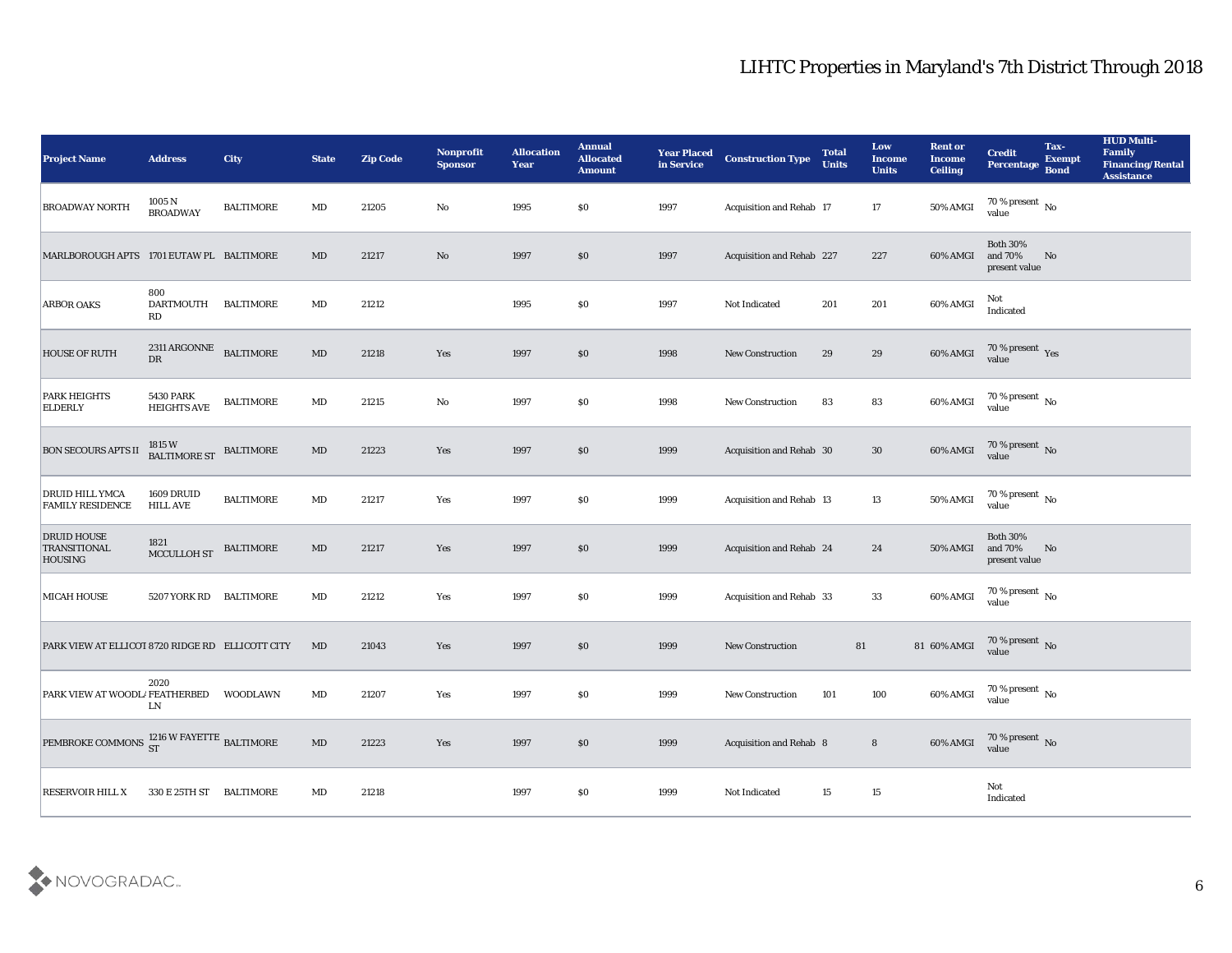| <b>Project Name</b>                                             | <b>Address</b>                                 | <b>City</b>      | <b>State</b>           | <b>Zip Code</b> | Nonprofit<br><b>Sponsor</b> | <b>Allocation</b><br>Year | <b>Annual</b><br><b>Allocated</b><br><b>Amount</b> | <b>Year Placed</b><br>in Service | <b>Construction Type</b>  | <b>Total</b><br><b>Units</b> | Low<br><b>Income</b><br><b>Units</b> | <b>Rent or</b><br><b>Income</b><br><b>Ceiling</b> | <b>Credit</b><br><b>Percentage</b>                              | Tax-<br><b>Exempt</b><br><b>Bond</b> | <b>HUD Multi-</b><br>Family<br><b>Financing/Rental</b><br><b>Assistance</b> |
|-----------------------------------------------------------------|------------------------------------------------|------------------|------------------------|-----------------|-----------------------------|---------------------------|----------------------------------------------------|----------------------------------|---------------------------|------------------------------|--------------------------------------|---------------------------------------------------|-----------------------------------------------------------------|--------------------------------------|-----------------------------------------------------------------------------|
| <b>BROADWAY NORTH</b>                                           | 1005 N<br><b>BROADWAY</b>                      | <b>BALTIMORE</b> | MD                     | 21205           | No                          | 1995                      | \$0                                                | 1997                             | Acquisition and Rehab 17  |                              | 17                                   | 50% AMGI                                          | 70 % present No<br>value                                        |                                      |                                                                             |
| MARLBOROUGH APTS 1701 EUTAW PL BALTIMORE                        |                                                |                  | MD                     | 21217           | $\rm No$                    | 1997                      | \$0                                                | 1997                             | Acquisition and Rehab 227 |                              | 227                                  | 60% AMGI                                          | <b>Both 30%</b><br>and 70%<br>present value                     | No                                   |                                                                             |
| <b>ARBOR OAKS</b>                                               | 800<br><b>DARTMOUTH</b><br>RD                  | <b>BALTIMORE</b> | $\mathbf{M}\mathbf{D}$ | 21212           |                             | 1995                      | \$0                                                | 1997                             | Not Indicated             | 201                          | 201                                  | 60% AMGI                                          | Not<br>Indicated                                                |                                      |                                                                             |
| <b>HOUSE OF RUTH</b>                                            | $2311\,\mathrm{ARGONNE}$ BALTIMORE<br>DR       |                  | $\mathbf{M}\mathbf{D}$ | 21218           | Yes                         | 1997                      | \$0                                                | 1998                             | <b>New Construction</b>   | 29                           | 29                                   | 60% AMGI                                          | $70\,\%$ present $\,\mathrm{Yes}$ value                         |                                      |                                                                             |
| <b>PARK HEIGHTS</b><br><b>ELDERLY</b>                           | <b>5430 PARK</b><br><b>HEIGHTS AVE</b>         | <b>BALTIMORE</b> | $\mathbf{M}\mathbf{D}$ | 21215           | No                          | 1997                      | \$0                                                | 1998                             | <b>New Construction</b>   | 83                           | 83                                   | 60% AMGI                                          | $70\,\%$ present $\,$ No value                                  |                                      |                                                                             |
| <b>BON SECOURS APTS II</b>                                      | $1815\,\mathrm{W}$ BALTIMORE ST $\;$ BALTIMORE |                  | $\mathbf{M}\mathbf{D}$ | 21223           | Yes                         | 1997                      | \$0                                                | 1999                             | Acquisition and Rehab 30  |                              | 30                                   | 60% AMGI                                          | $70\,\%$ present $\,$ No value                                  |                                      |                                                                             |
| DRUID HILL YMCA<br><b>FAMILY RESIDENCE</b>                      | 1609 DRUID<br><b>HILL AVE</b>                  | <b>BALTIMORE</b> | $\mathbf{M}\mathbf{D}$ | 21217           | Yes                         | 1997                      | \$0                                                | 1999                             | Acquisition and Rehab 13  |                              | 13                                   | 50% AMGI                                          | $70\,\% \,present \over value$                                  |                                      |                                                                             |
| <b>DRUID HOUSE</b><br><b>TRANSITIONAL</b><br><b>HOUSING</b>     | 1821<br>MCCULLOH ST                            | <b>BALTIMORE</b> | $\mathbf{M}\mathbf{D}$ | 21217           | Yes                         | 1997                      | \$0                                                | 1999                             | Acquisition and Rehab 24  |                              | 24                                   | 50% AMGI                                          | <b>Both 30%</b><br>and 70%<br>present value                     | No                                   |                                                                             |
| <b>MICAH HOUSE</b>                                              | 5207 YORK RD BALTIMORE                         |                  | $\mathbf{M}\mathbf{D}$ | 21212           | Yes                         | 1997                      | \$0                                                | 1999                             | Acquisition and Rehab 33  |                              | 33                                   | 60% AMGI                                          | $70\,\%$ present $\,$ No value                                  |                                      |                                                                             |
| PARK VIEW AT ELLICOT 8720 RIDGE RD ELLICOTT CITY                |                                                |                  | MD                     | 21043           | Yes                         | 1997                      | \$0                                                | 1999                             | <b>New Construction</b>   | 81                           |                                      | 81 60% AMGI                                       | $70\,\%$ present $\,$ No value                                  |                                      |                                                                             |
| PARK VIEW AT WOODL/ FEATHERBED                                  | 2020<br>LN                                     | WOODLAWN         | $\mathbf{M}\mathbf{D}$ | 21207           | Yes                         | 1997                      | \$0                                                | 1999                             | <b>New Construction</b>   | 101                          | 100                                  | 60% AMGI                                          | 70 % present $\,$ No $\,$<br>value                              |                                      |                                                                             |
| PEMBROKE COMMONS $_{\rm ST}^{1216\ {\rm W\ FAYETTE}}$ BALTIMORE |                                                |                  | $\mathbf{M}\mathbf{D}$ | 21223           | Yes                         | 1997                      | $\$0$                                              | 1999                             | Acquisition and Rehab 8   |                              | $\bf 8$                              |                                                   | 60% AMGI $\frac{70 \text{ %} \text{ present}}{\text{value}}$ No |                                      |                                                                             |
| <b>RESERVOIR HILL X</b>                                         | 330 E 25TH ST BALTIMORE                        |                  | $\mathbf{M}\mathbf{D}$ | 21218           |                             | 1997                      | $\$0$                                              | 1999                             | Not Indicated             | 15                           | $15\,$                               |                                                   | Not<br>$\operatorname{Indicated}$                               |                                      |                                                                             |

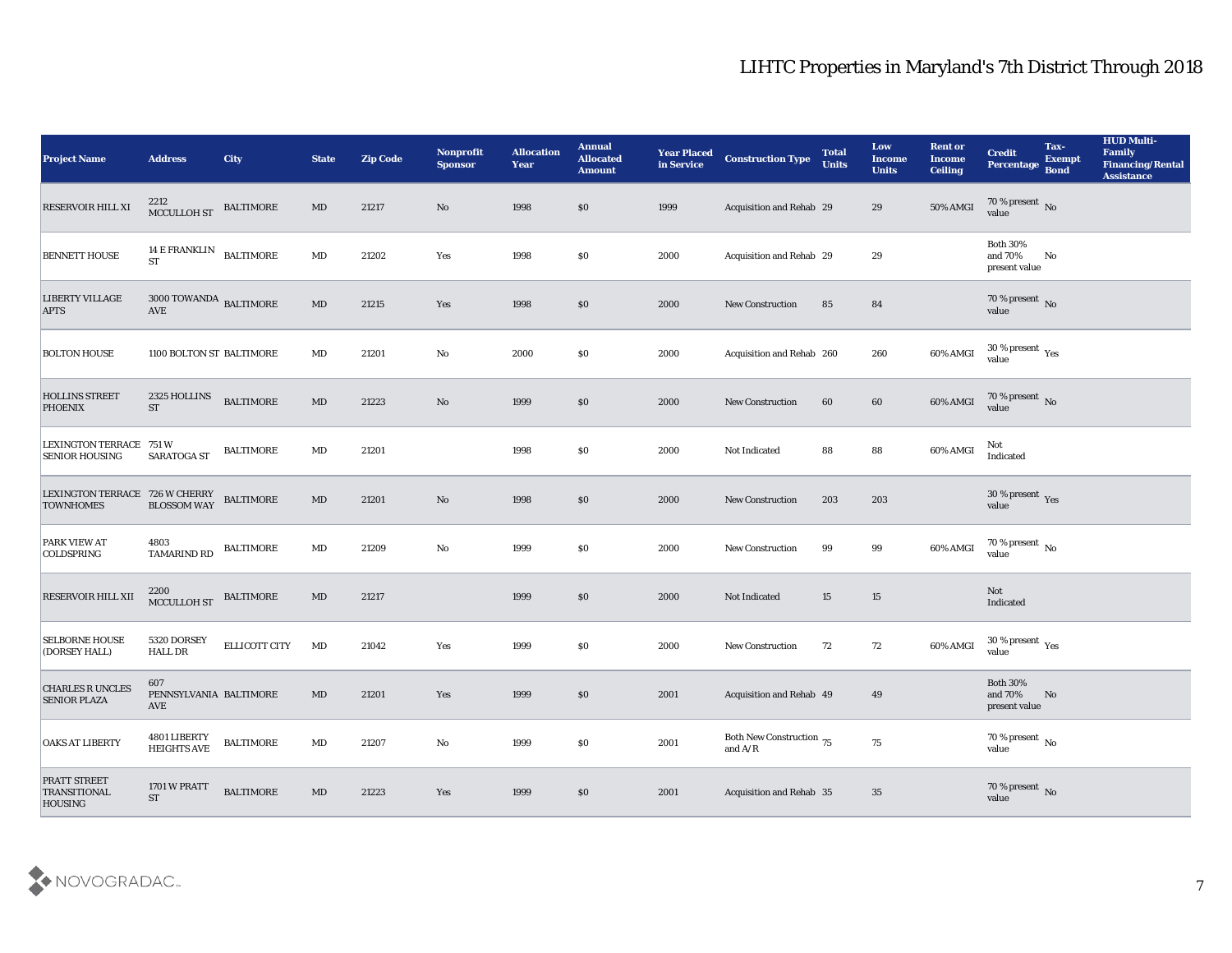| <b>Project Name</b>                                                                                                                                                                     | <b>Address</b>                              | <b>City</b>      | <b>State</b>           | <b>Zip Code</b> | Nonprofit<br><b>Sponsor</b> | <b>Allocation</b><br><b>Year</b> | <b>Annual</b><br><b>Allocated</b><br><b>Amount</b> | <b>Year Placed</b><br>in Service | <b>Construction Type</b>                                                          | <b>Total</b><br><b>Units</b> | Low<br><b>Income</b><br><b>Units</b> | <b>Rent or</b><br><b>Income</b><br><b>Ceiling</b> | <b>Credit</b><br>Percentage                 | Tax-<br><b>Exempt</b><br><b>Bond</b> | <b>HUD Multi-</b><br>Family<br><b>Financing/Rental</b><br><b>Assistance</b> |
|-----------------------------------------------------------------------------------------------------------------------------------------------------------------------------------------|---------------------------------------------|------------------|------------------------|-----------------|-----------------------------|----------------------------------|----------------------------------------------------|----------------------------------|-----------------------------------------------------------------------------------|------------------------------|--------------------------------------|---------------------------------------------------|---------------------------------------------|--------------------------------------|-----------------------------------------------------------------------------|
| <b>RESERVOIR HILL XI</b>                                                                                                                                                                | 2212<br>MCCULLOH ST                         | <b>BALTIMORE</b> | $\mathbf{M}\mathbf{D}$ | 21217           | No                          | 1998                             | \$0                                                | 1999                             | Acquisition and Rehab 29                                                          |                              | 29                                   | 50% AMGI                                          | $70\,\%$ present $\,$ No value              |                                      |                                                                             |
| <b>BENNETT HOUSE</b>                                                                                                                                                                    | 14 E FRANKLIN BALTIMORE<br><b>ST</b>        |                  | $\mathbf{M}\mathbf{D}$ | 21202           | Yes                         | 1998                             | \$0                                                | 2000                             | Acquisition and Rehab 29                                                          |                              | 29                                   |                                                   | <b>Both 30%</b><br>and 70%<br>present value | No                                   |                                                                             |
| <b>LIBERTY VILLAGE</b><br><b>APTS</b>                                                                                                                                                   | $3000$ TOWANDA $\,$ BALTIMORE<br><b>AVE</b> |                  | $\mathbf{M}\mathbf{D}$ | 21215           | Yes                         | 1998                             | \$0                                                | 2000                             | New Construction                                                                  | 85                           | 84                                   |                                                   | $70\,\%$ present $\,$ No value              |                                      |                                                                             |
| <b>BOLTON HOUSE</b>                                                                                                                                                                     | 1100 BOLTON ST BALTIMORE                    |                  | $\mathbf{M}\mathbf{D}$ | 21201           | $\mathbf{N}\mathbf{o}$      | 2000                             | \$0                                                | 2000                             | Acquisition and Rehab 260                                                         |                              | 260                                  | 60% AMGI                                          | $30\,\%$ present $\,$ Yes value             |                                      |                                                                             |
| <b>HOLLINS STREET</b><br><b>PHOENIX</b>                                                                                                                                                 | 2325 HOLLINS<br><b>ST</b>                   | <b>BALTIMORE</b> | $\mathbf{M}\mathbf{D}$ | 21223           | $\rm\thinspace No$          | 1999                             | \$0                                                | 2000                             | <b>New Construction</b>                                                           | 60                           | 60                                   | 60% AMGI                                          | $70\,\%$ present $\,$ No value              |                                      |                                                                             |
| LEXINGTON TERRACE 751 W<br><b>SENIOR HOUSING</b>                                                                                                                                        | SARATOGA ST                                 | <b>BALTIMORE</b> | $\mathbf{M}\mathbf{D}$ | 21201           |                             | 1998                             | \$0                                                | 2000                             | Not Indicated                                                                     | 88                           | 88                                   | 60% AMGI                                          | Not<br>Indicated                            |                                      |                                                                             |
| $\begin{tabular}{ll} \textbf{LEXINGTON TERRACE} & \textbf{726} \textbf{W CHERRY} & \textbf{BALTIMORE} \\ \textbf{TOWNHOMES} & \textbf{BLOS SOM WAY} & \textbf{BALTIMORE} \end{tabular}$ |                                             |                  | $\mathbf{M}\mathbf{D}$ | 21201           | $\rm \bf No$                | 1998                             | \$0                                                | 2000                             | <b>New Construction</b>                                                           | 203                          | 203                                  |                                                   | $30\,\%$ present $\,$ Yes value             |                                      |                                                                             |
| <b>PARK VIEW AT</b><br>COLDSPRING                                                                                                                                                       | 4803<br>TAMARIND RD                         | <b>BALTIMORE</b> | $\mathbf{M}\mathbf{D}$ | 21209           | $\mathbf{N}\mathbf{o}$      | 1999                             | \$0                                                | 2000                             | <b>New Construction</b>                                                           | 99                           | 99                                   | 60% AMGI                                          | $70$ % present $_{\rm No}$                  |                                      |                                                                             |
| <b>RESERVOIR HILL XII</b>                                                                                                                                                               | 2200<br>MCCULLOH ST                         | <b>BALTIMORE</b> | $\mathbf{M}\mathbf{D}$ | 21217           |                             | 1999                             | \$0                                                | 2000                             | Not Indicated                                                                     | 15                           | 15                                   |                                                   | Not<br>Indicated                            |                                      |                                                                             |
| <b>SELBORNE HOUSE</b><br>(DORSEY HALL)                                                                                                                                                  | 5320 DORSEY<br><b>HALL DR</b>               | ELLICOTT CITY    | MD                     | 21042           | Yes                         | 1999                             | \$0                                                | 2000                             | <b>New Construction</b>                                                           | 72                           | 72                                   | 60% AMGI                                          | $30\,\%$ present $\,$ Yes value             |                                      |                                                                             |
| <b>CHARLES R UNCLES</b><br><b>SENIOR PLAZA</b>                                                                                                                                          | 607<br>PENNSYLVANIA BALTIMORE<br>AVE        |                  | MD                     | 21201           | Yes                         | 1999                             | \$0                                                | 2001                             | Acquisition and Rehab 49                                                          |                              | 49                                   |                                                   | <b>Both 30%</b><br>and 70%<br>present value | No                                   |                                                                             |
| <b>OAKS AT LIBERTY</b>                                                                                                                                                                  | <b>4801 LIBERTY<br/>HEIGHTS AVE</b>         | <b>BALTIMORE</b> | $\mathbf{M}\mathbf{D}$ | 21207           | $\mathbf {No}$              | 1999                             | $\$0$                                              | 2001                             | Both New Construction 75<br>and $\ensuremath{\mathrm{A}}/\ensuremath{\mathrm{R}}$ |                              | ${\bf 75}$                           |                                                   | 70 % present $\overline{N_0}$<br>value      |                                      |                                                                             |
| PRATT STREET<br>TRANSITIONAL<br>HOUSING                                                                                                                                                 | 1701 W PRATT<br><b>ST</b>                   | <b>BALTIMORE</b> | $\mathbf{M}\mathbf{D}$ | 21223           | Yes                         | 1999                             | \$0                                                | 2001                             | Acquisition and Rehab 35                                                          |                              | 35                                   |                                                   | $70\,\%$ present $\,$ No value              |                                      |                                                                             |

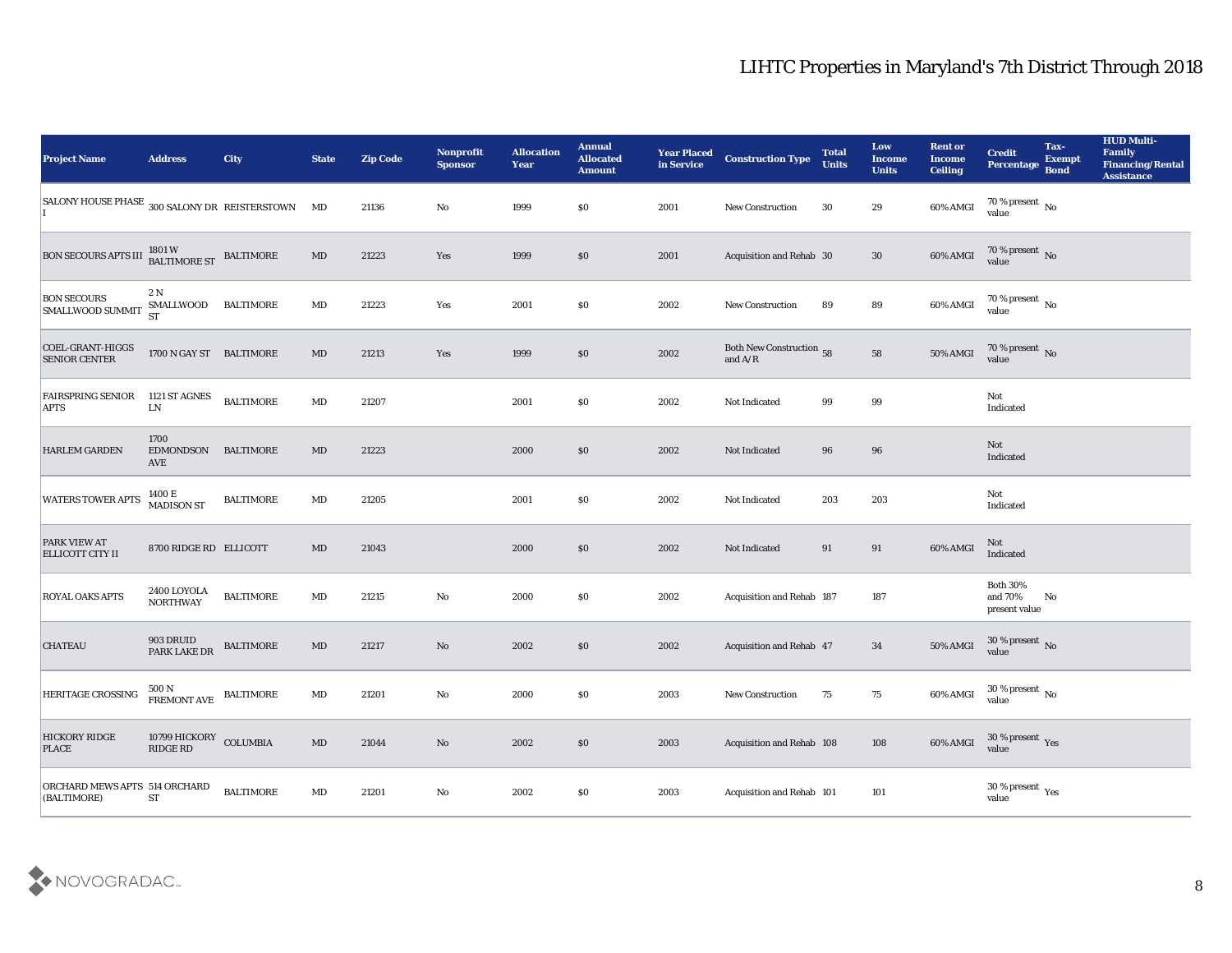| <b>Project Name</b>                                                                                                              | <b>Address</b>                                                         | <b>City</b>      | <b>State</b>           | <b>Zip Code</b> | Nonprofit<br><b>Sponsor</b> | <b>Allocation</b><br><b>Year</b> | <b>Annual</b><br><b>Allocated</b><br><b>Amount</b> | <b>Year Placed</b><br>in Service | <b>Construction Type</b>                                                          | <b>Total</b><br><b>Units</b> | Low<br>Income<br><b>Units</b> | <b>Rent or</b><br><b>Income</b><br><b>Ceiling</b> | <b>Credit</b><br><b>Percentage</b>            | Tax-<br><b>Exempt</b><br><b>Bond</b> | <b>HUD Multi-</b><br>Family<br><b>Financing/Rental</b><br><b>Assistance</b> |
|----------------------------------------------------------------------------------------------------------------------------------|------------------------------------------------------------------------|------------------|------------------------|-----------------|-----------------------------|----------------------------------|----------------------------------------------------|----------------------------------|-----------------------------------------------------------------------------------|------------------------------|-------------------------------|---------------------------------------------------|-----------------------------------------------|--------------------------------------|-----------------------------------------------------------------------------|
| SALONY HOUSE PHASE 300 SALONY DR REISTERSTOWN MD                                                                                 |                                                                        |                  |                        | 21136           | No                          | 1999                             | $\$0$                                              | 2001                             | <b>New Construction</b>                                                           | 30                           | 29                            | 60% AMGI                                          | 70 % present $\,$ No $\,$<br>value            |                                      |                                                                             |
| $\boxed{\text{BON SECOURS APTS III}} \begin{array}{ll} 1801 \, \text{W} & \\ \text{BALTIMORE ST} & \text{BALTIMORE} \end{array}$ |                                                                        |                  | $\mathbf{M}\mathbf{D}$ | 21223           | Yes                         | 1999                             | \$0                                                | 2001                             | Acquisition and Rehab 30                                                          |                              | 30                            | 60% AMGI                                          | $70\,\% \,present \over 0$ No                 |                                      |                                                                             |
| <b>BON SECOURS</b><br><b>SMALLWOOD SUMMIT</b>                                                                                    | 2N<br>SMALLWOOD<br><b>ST</b>                                           | <b>BALTIMORE</b> | $\mathbf{M}\mathbf{D}$ | 21223           | Yes                         | 2001                             | \$0                                                | 2002                             | New Construction                                                                  | 89                           | 89                            | 60% AMGI                                          | $70\,\%$ present $\,$ No value                |                                      |                                                                             |
| COEL-GRANT-HIGGS<br><b>SENIOR CENTER</b>                                                                                         | 1700 N GAY ST BALTIMORE                                                |                  | $\mathbf{M}\mathbf{D}$ | 21213           | Yes                         | 1999                             | \$0\$                                              | 2002                             | Both New Construction 58<br>and $\ensuremath{\mathrm{A}}/\ensuremath{\mathrm{R}}$ |                              | ${\bf 58}$                    | 50% AMGI                                          | $70\,\%$ present $\,$ No value                |                                      |                                                                             |
| <b>FAIRSPRING SENIOR</b><br><b>APTS</b>                                                                                          | 1121 ST AGNES<br>${\rm LN}$                                            | <b>BALTIMORE</b> | $\mathbf{M}\mathbf{D}$ | 21207           |                             | 2001                             | \$0                                                | 2002                             | Not Indicated                                                                     | 99                           | 99                            |                                                   | Not<br>Indicated                              |                                      |                                                                             |
| <b>HARLEM GARDEN</b>                                                                                                             | 1700<br>EDMONDSON<br>AVE                                               | BALTIMORE        | MD                     | 21223           |                             | 2000                             | \$0                                                | 2002                             | Not Indicated                                                                     | 96                           | 96                            |                                                   | Not<br>Indicated                              |                                      |                                                                             |
| <b>WATERS TOWER APTS</b>                                                                                                         | 1400 E<br>MADISON ST                                                   | <b>BALTIMORE</b> | $\mathbf{M}\mathbf{D}$ | 21205           |                             | 2001                             | \$0                                                | 2002                             | Not Indicated                                                                     | 203                          | 203                           |                                                   | Not<br>Indicated                              |                                      |                                                                             |
| <b>PARK VIEW AT</b><br><b>ELLICOTT CITY II</b>                                                                                   | 8700 RIDGE RD ELLICOTT                                                 |                  | $\rm MD$               | 21043           |                             | 2000                             | \$0                                                | 2002                             | Not Indicated                                                                     | 91                           | 91                            | 60% AMGI                                          | Not<br>Indicated                              |                                      |                                                                             |
| ROYAL OAKS APTS                                                                                                                  | 2400 LOYOLA<br><b>NORTHWAY</b>                                         | <b>BALTIMORE</b> | $\mathbf{M}\mathbf{D}$ | 21215           | No                          | 2000                             | \$0                                                | 2002                             | Acquisition and Rehab 187                                                         |                              | 187                           |                                                   | <b>Both 30%</b><br>and 70%<br>present value   | No                                   |                                                                             |
| <b>CHATEAU</b>                                                                                                                   | 903 DRUID<br>PARK LAKE DR                                              | <b>BALTIMORE</b> | $\mathbf{M}\mathbf{D}$ | 21217           | No                          | 2002                             | \$0\$                                              | 2002                             | Acquisition and Rehab 47                                                          |                              | 34                            | 50% AMGI                                          | $30\,\%$ present $\,$ No value                |                                      |                                                                             |
| HERITAGE CROSSING                                                                                                                | 500 N<br>FREMONT AVE BALTIMORE                                         |                  | MD                     | 21201           | No                          | 2000                             | $\$0$                                              | 2003                             | <b>New Construction</b>                                                           | 75                           | 75                            | 60% AMGI                                          | 30 % present $\,$ No $\,$<br>value            |                                      |                                                                             |
| <b>HICKORY RIDGE</b><br><b>PLACE</b>                                                                                             | 10799 HICKORY COLUMBIA<br>$\mathop{\rm RIDGE}\nolimits\mathop{\rm RD}$ |                  | $\mathbf{M}\mathbf{D}$ | 21044           | $\rm\thinspace No$          | 2002                             | $\$0$                                              | 2003                             | Acquisition and Rehab 108                                                         |                              | 108                           | 60% AMGI                                          | $30\,\%$ present $\,$ Yes value               |                                      |                                                                             |
| ORCHARD MEWS APTS 514 ORCHARD<br>(BALTIMORE)                                                                                     | <b>ST</b>                                                              | <b>BALTIMORE</b> | $\mathbf{M}\mathbf{D}$ | 21201           | $\mathbf {No}$              | 2002                             | $\$0$                                              | 2003                             | Acquisition and Rehab 101                                                         |                              | $101\,$                       |                                                   | 30 % present $\,\rm \gamma_{\rm es}$<br>value |                                      |                                                                             |

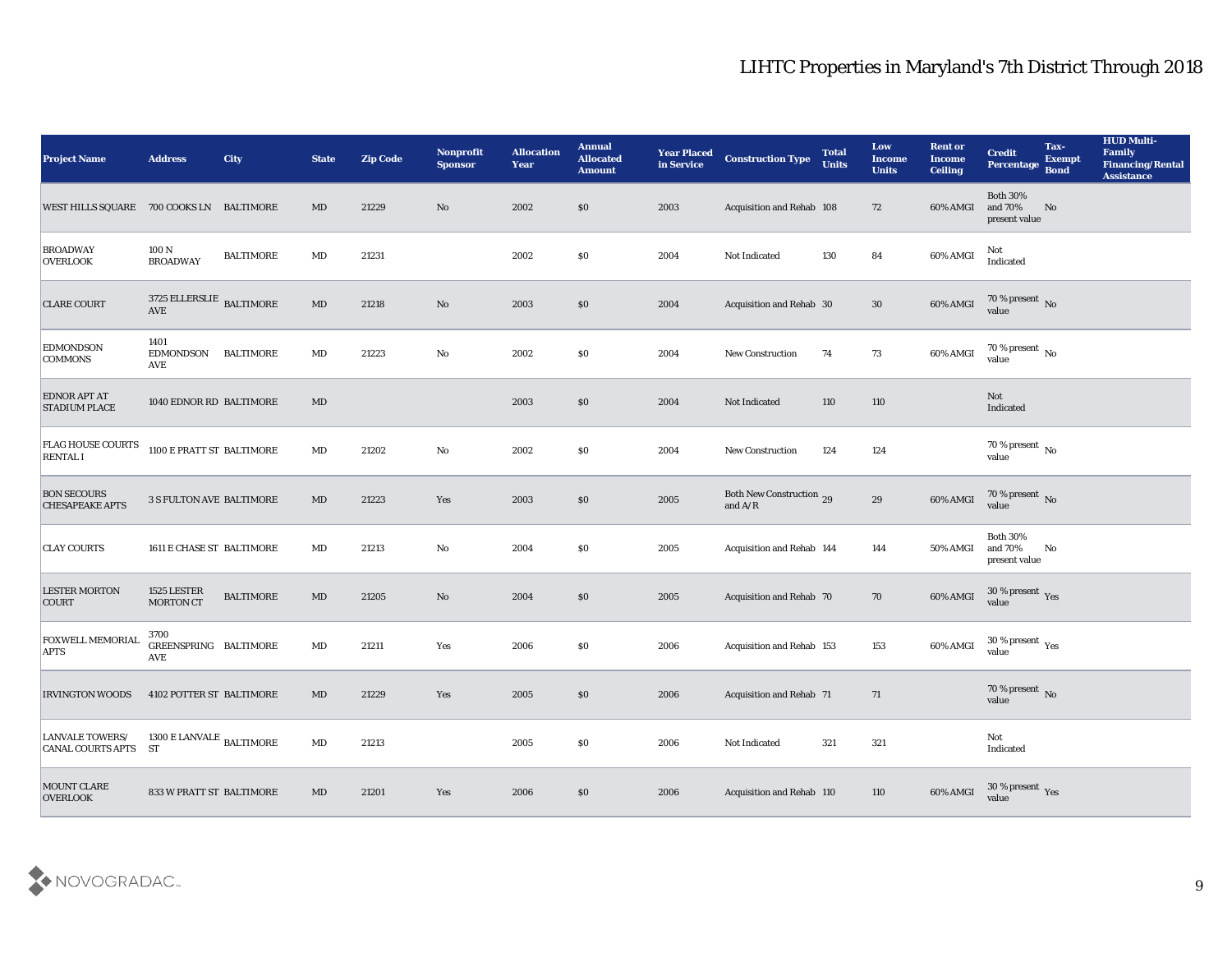| <b>Project Name</b>                          | <b>Address</b>                         | <b>City</b>      | <b>State</b>           | <b>Zip Code</b> | Nonprofit<br><b>Sponsor</b> | <b>Allocation</b><br><b>Year</b> | <b>Annual</b><br><b>Allocated</b><br><b>Amount</b> | <b>Year Placed</b><br>in Service | <b>Construction Type</b>                  | <b>Total</b><br><b>Units</b> | Low<br><b>Income</b><br><b>Units</b> | <b>Rent or</b><br><b>Income</b><br><b>Ceiling</b> | <b>Credit</b><br>Percentage                 | Tax-<br><b>Exempt</b><br><b>Bond</b> | <b>HUD Multi-</b><br>Family<br><b>Financing/Rental</b><br><b>Assistance</b> |
|----------------------------------------------|----------------------------------------|------------------|------------------------|-----------------|-----------------------------|----------------------------------|----------------------------------------------------|----------------------------------|-------------------------------------------|------------------------------|--------------------------------------|---------------------------------------------------|---------------------------------------------|--------------------------------------|-----------------------------------------------------------------------------|
| WEST HILLS SQUARE 700 COOKS LN BALTIMORE     |                                        |                  | MD                     | 21229           | No                          | 2002                             | $\$0$                                              | 2003                             | Acquisition and Rehab 108                 |                              | 72                                   | 60% AMGI                                          | <b>Both 30%</b><br>and 70%<br>present value | No                                   |                                                                             |
| <b>BROADWAY</b><br><b>OVERLOOK</b>           | 100 N<br><b>BROADWAY</b>               | <b>BALTIMORE</b> | $\mathbf{M}\mathbf{D}$ | 21231           |                             | 2002                             | \$0\$                                              | 2004                             | Not Indicated                             | 130                          | 84                                   | 60% AMGI                                          | Not<br>Indicated                            |                                      |                                                                             |
| <b>CLARE COURT</b>                           | 3725 ELLERSLIE BALTIMORE<br><b>AVE</b> |                  | $\mathbf{M}\mathbf{D}$ | 21218           | No                          | 2003                             | $\$0$                                              | 2004                             | Acquisition and Rehab 30                  |                              | 30                                   | 60% AMGI                                          | 70 % present $\,$ No $\,$<br>value          |                                      |                                                                             |
| <b>EDMONDSON</b><br><b>COMMONS</b>           | 1401<br><b>EDMONDSON</b><br>AVE        | <b>BALTIMORE</b> | $\mathbf{M}\mathbf{D}$ | 21223           | $\rm\thinspace No$          | 2002                             | $\$0$                                              | 2004                             | New Construction                          | 74                           | 73                                   | 60% AMGI                                          | $70\,\%$ present $\,$ No value              |                                      |                                                                             |
| <b>EDNOR APT AT</b><br><b>STADIUM PLACE</b>  | 1040 EDNOR RD BALTIMORE                |                  | MD                     |                 |                             | 2003                             | $\$0$                                              | 2004                             | Not Indicated                             | 110                          | 110                                  |                                                   | Not<br>Indicated                            |                                      |                                                                             |
| <b>FLAG HOUSE COURTS</b><br><b>RENTAL I</b>  | 1100 E PRATT ST BALTIMORE              |                  | $\mathbf{M}\mathbf{D}$ | 21202           | $\rm\thinspace No$          | 2002                             | \$0\$                                              | 2004                             | <b>New Construction</b>                   | 124                          | 124                                  |                                                   | $70\,\%$ present $\,$ No value              |                                      |                                                                             |
| <b>BON SECOURS</b><br><b>CHESAPEAKE APTS</b> | <b>3 S FULTON AVE BALTIMORE</b>        |                  | MD                     | 21223           | Yes                         | 2003                             | $\$0$                                              | 2005                             | Both New Construction 29<br>and $\rm A/R$ |                              | $\boldsymbol{29}$                    | 60% AMGI                                          | $70\,\%$ present $\,$ No value              |                                      |                                                                             |
| <b>CLAY COURTS</b>                           | 1611 E CHASE ST BALTIMORE              |                  | $\mathbf{M}\mathbf{D}$ | 21213           | No                          | 2004                             | \$0\$                                              | 2005                             | Acquisition and Rehab 144                 |                              | 144                                  | 50% AMGI                                          | <b>Both 30%</b><br>and 70%<br>present value | No                                   |                                                                             |
| <b>LESTER MORTON</b><br>COURT                | 1525 LESTER<br><b>MORTON CT</b>        | <b>BALTIMORE</b> | MD                     | 21205           | No                          | 2004                             | $\$0$                                              | 2005                             | Acquisition and Rehab 70                  |                              | 70                                   | 60% AMGI                                          | $30\,\%$ present $\,$ Yes value             |                                      |                                                                             |
| <b>FOXWELL MEMORIAL</b><br><b>APTS</b>       | 3700<br>GREENSPRING BALTIMORE<br>AVE   |                  | $\mathbf{M}\mathbf{D}$ | 21211           | Yes                         | 2006                             | $\$0$                                              | 2006                             | Acquisition and Rehab 153                 |                              | 153                                  | 60% AMGI                                          | $30\,\%$ present $\,$ Yes value             |                                      |                                                                             |
| <b>IRVINGTON WOODS</b>                       | 4102 POTTER ST BALTIMORE               |                  | MD                     | 21229           | Yes                         | 2005                             | $\$0$                                              | 2006                             | <b>Acquisition and Rehab 71</b>           |                              | 71                                   |                                                   | 70 % present No<br>value                    |                                      |                                                                             |
| LANVALE TOWERS/<br>CANAL COURTS APTS ST      | $1300$ E LANVALE $_{\rm BALTIMORE}$    |                  | $\mathbf{M}\mathbf{D}$ | 21213           |                             | 2005                             | \$0                                                | 2006                             | Not Indicated                             | 321                          | 321                                  |                                                   | Not<br>Indicated                            |                                      |                                                                             |
| MOUNT CLARE<br><b>OVERLOOK</b>               | 833 W PRATT ST BALTIMORE               |                  | $\rm MD$               | 21201           | $\mathbf{Yes}$              | 2006                             | $\$0$                                              | 2006                             | Acquisition and Rehab 110                 |                              | 110                                  | 60% AMGI                                          | 30 % present $\gamma_{\rm es}$<br>value     |                                      |                                                                             |

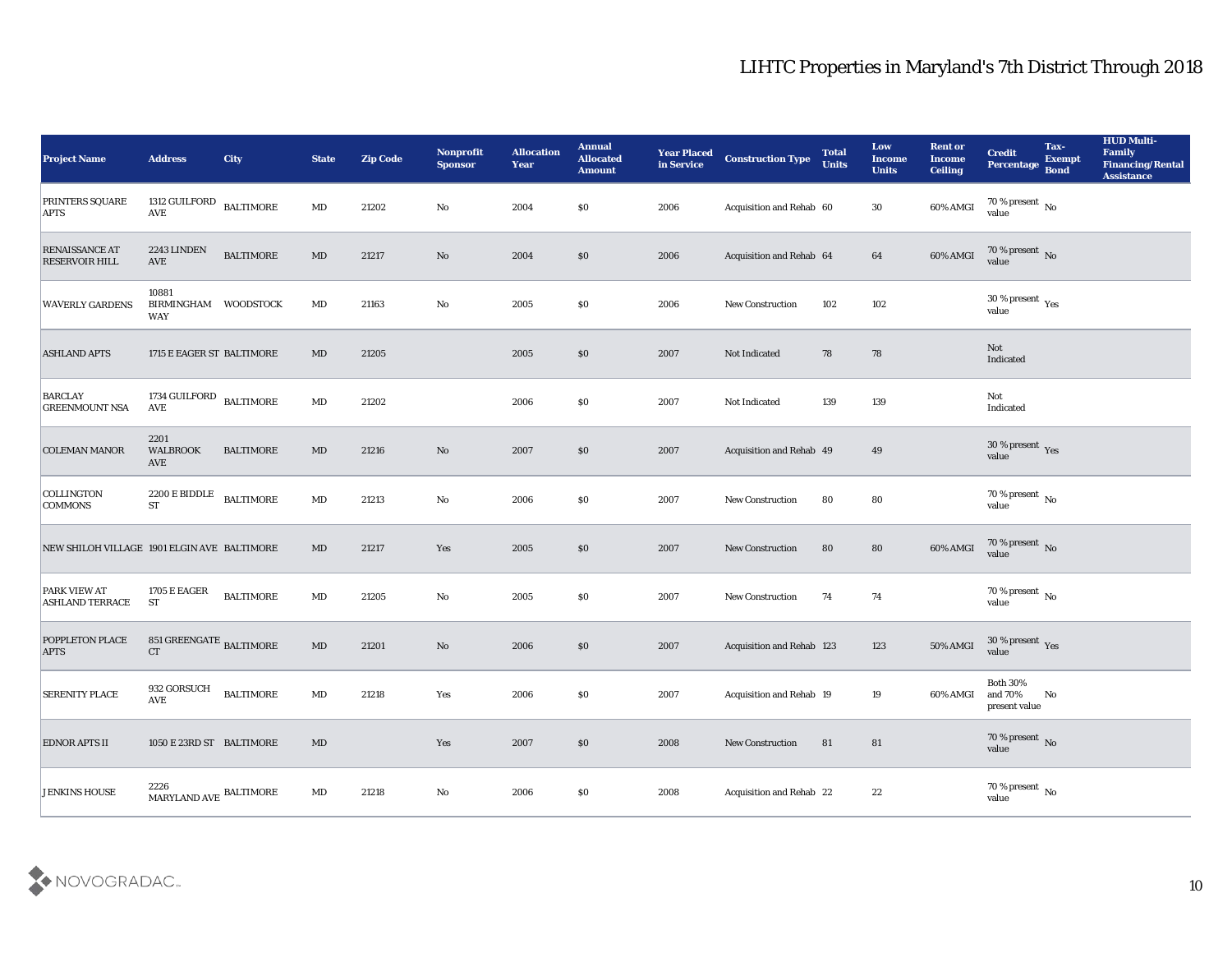| <b>Project Name</b>                            | <b>Address</b>                                | <b>City</b>      | <b>State</b>           | <b>Zip Code</b> | Nonprofit<br><b>Sponsor</b> | <b>Allocation</b><br><b>Year</b> | <b>Annual</b><br><b>Allocated</b><br><b>Amount</b> | <b>Year Placed</b><br>in Service | <b>Construction Type</b>         | <b>Total</b><br><b>Units</b> | Low<br><b>Income</b><br><b>Units</b> | <b>Rent or</b><br><b>Income</b><br><b>Ceiling</b> | <b>Credit</b><br>Percentage             | Tax-<br><b>Exempt</b><br><b>Bond</b> | <b>HUD Multi-</b><br>Family<br><b>Financing/Rental</b><br><b>Assistance</b> |
|------------------------------------------------|-----------------------------------------------|------------------|------------------------|-----------------|-----------------------------|----------------------------------|----------------------------------------------------|----------------------------------|----------------------------------|------------------------------|--------------------------------------|---------------------------------------------------|-----------------------------------------|--------------------------------------|-----------------------------------------------------------------------------|
| <b>PRINTERS SQUARE</b><br><b>APTS</b>          | 1312 GUILFORD BALTIMORE<br>AVE                |                  | $\mathbf{M}\mathbf{D}$ | 21202           | No                          | 2004                             | \$0                                                | 2006                             | Acquisition and Rehab 60         |                              | 30                                   | 60% AMGI                                          | 70 % present $\,$ No $\,$<br>value      |                                      |                                                                             |
| <b>RENAISSANCE AT</b><br><b>RESERVOIR HILL</b> | 2243 LINDEN<br><b>AVE</b>                     | <b>BALTIMORE</b> | MD                     | 21217           | No                          | 2004                             | \$0                                                | 2006                             | Acquisition and Rehab 64         |                              | 64                                   | 60% AMGI                                          | $70$ % present $\,$ No $\,$ value       |                                      |                                                                             |
| <b>WAVERLY GARDENS</b>                         | 10881<br>BIRMINGHAM WOODSTOCK<br>WAY          |                  | $\rm MD$               | 21163           | $\mathbf{N}\mathbf{o}$      | 2005                             | \$0                                                | 2006                             | <b>New Construction</b>          | 102                          | 102                                  |                                                   | 30 % present $\gamma_{\rm es}$<br>value |                                      |                                                                             |
| <b>ASHLAND APTS</b>                            | 1715 E EAGER ST BALTIMORE                     |                  | MD                     | 21205           |                             | 2005                             | \$0                                                | 2007                             | Not Indicated                    | 78                           | 78                                   |                                                   | <b>Not</b><br>Indicated                 |                                      |                                                                             |
| <b>BARCLAY</b><br><b>GREENMOUNT NSA</b>        | 1734 GUILFORD BALTIMORE<br>AVE                |                  | MD                     | 21202           |                             | 2006                             | \$0                                                | 2007                             | Not Indicated                    | 139                          | 139                                  |                                                   | Not<br>Indicated                        |                                      |                                                                             |
| <b>COLEMAN MANOR</b>                           | 2201<br><b>WALBROOK</b><br><b>AVE</b>         | <b>BALTIMORE</b> | MD                     | 21216           | No                          | 2007                             | \$0                                                | 2007                             | Acquisition and Rehab 49         |                              | 49                                   |                                                   | $30\,\%$ present $\,$ Yes value         |                                      |                                                                             |
| <b>COLLINGTON</b><br><b>COMMONS</b>            | 2200 E BIDDLE<br><b>ST</b>                    | <b>BALTIMORE</b> | $\mathbf{M}\mathbf{D}$ | 21213           | No                          | 2006                             | \$0                                                | 2007                             | <b>New Construction</b>          | 80                           | 80                                   |                                                   | $70\,\%$ present $\,$ No value          |                                      |                                                                             |
| NEW SHILOH VILLAGE 1901 ELGIN AVE BALTIMORE    |                                               |                  | MD                     | 21217           | Yes                         | 2005                             | \$0                                                | 2007                             | <b>New Construction</b>          | 80                           | 80                                   | 60% AMGI                                          | 70 % present No<br>value                |                                      |                                                                             |
| PARK VIEW AT<br><b>ASHLAND TERRACE</b>         | <b>1705 E EAGER</b><br><b>ST</b>              | <b>BALTIMORE</b> | MD                     | 21205           | No                          | 2005                             | \$0                                                | 2007                             | New Construction                 | 74                           | 74                                   |                                                   | $70\,\%$ present $\,$ No $\,$<br>value  |                                      |                                                                             |
| <b>POPPLETON PLACE</b><br><b>APTS</b>          | 851 GREENGATE $_{\rm BALTIMORE}$<br><b>CT</b> |                  | MD                     | 21201           | No                          | 2006                             | \$0                                                | 2007                             | <b>Acquisition and Rehab 123</b> |                              | 123                                  | 50% AMGI                                          | $30\,\%$ present $\,$ Yes value         |                                      |                                                                             |
| <b>SERENITY PLACE</b>                          | 932 GORSUCH<br><b>AVE</b>                     | <b>BALTIMORE</b> | $\rm MD$               | 21218           | Yes                         | 2006                             | \$0                                                | 2007                             | Acquisition and Rehab 19         |                              | 19                                   | 60% AMGI and 70%                                  | <b>Both 30%</b><br>$\,$ present value   | No                                   |                                                                             |
| <b>EDNOR APTS II</b>                           | 1050 E 23RD ST BALTIMORE                      |                  | $\mathbf{M}\mathbf{D}$ |                 | Yes                         | 2007                             | $\$0$                                              | 2008                             | New Construction                 | 81                           | ${\bf 81}$                           |                                                   | $70\,\%$ present $\,$ No value          |                                      |                                                                             |
| <b>JENKINS HOUSE</b>                           | $2226$ MARYLAND AVE $\,$ BALTIMORE            |                  | $\mathbf{M}\mathbf{D}$ | 21218           | $\mathbf {No}$              | 2006                             | \$0                                                | 2008                             | Acquisition and Rehab 22         |                              | 22                                   |                                                   | $70\,\%$ present $\,$ No value          |                                      |                                                                             |

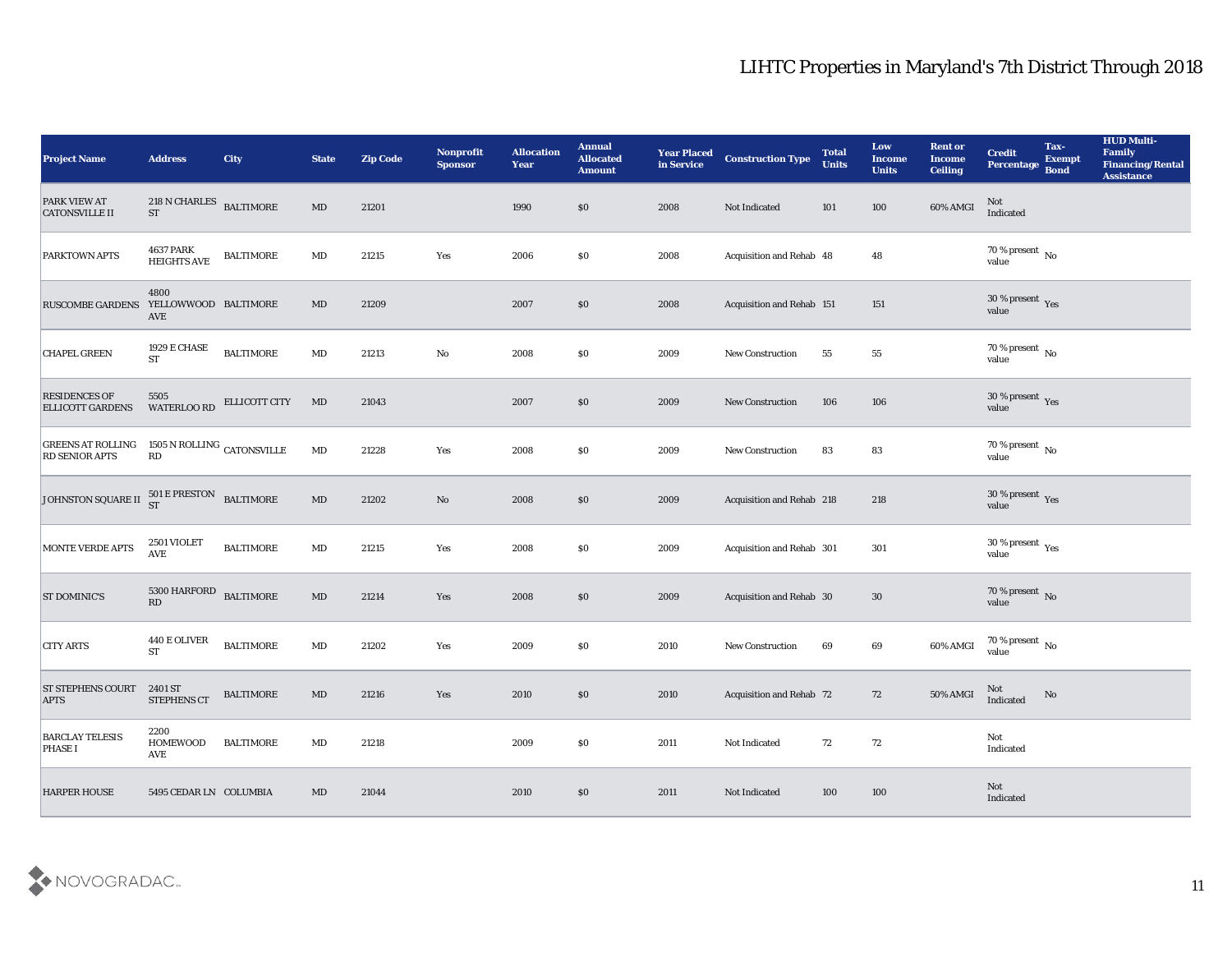| <b>Project Name</b>                               | <b>Address</b>                                          | <b>City</b>      | <b>State</b>           | <b>Zip Code</b> | Nonprofit<br><b>Sponsor</b> | <b>Allocation</b><br>Year | <b>Annual</b><br><b>Allocated</b><br><b>Amount</b> | <b>Year Placed</b><br>in Service | <b>Construction Type</b>  | <b>Total</b><br><b>Units</b> | Low<br>Income<br><b>Units</b> | <b>Rent or</b><br><b>Income</b><br><b>Ceiling</b> | <b>Credit</b><br>Percentage     | Tax-<br><b>Exempt</b><br><b>Bond</b> | <b>HUD Multi-</b><br>Family<br><b>Financing/Rental</b><br><b>Assistance</b> |
|---------------------------------------------------|---------------------------------------------------------|------------------|------------------------|-----------------|-----------------------------|---------------------------|----------------------------------------------------|----------------------------------|---------------------------|------------------------------|-------------------------------|---------------------------------------------------|---------------------------------|--------------------------------------|-----------------------------------------------------------------------------|
| PARK VIEW AT<br><b>CATONSVILLE II</b>             | $218$ N CHARLES $\quad$ BALTIMORE<br>${\rm ST}$         |                  | $\mathbf{M}\mathbf{D}$ | 21201           |                             | 1990                      | \$0                                                | 2008                             | Not Indicated             | 101                          | 100                           | 60% AMGI                                          | Not<br>Indicated                |                                      |                                                                             |
| <b>PARKTOWN APTS</b>                              | <b>4637 PARK</b><br><b>HEIGHTS AVE</b>                  | <b>BALTIMORE</b> | MD                     | 21215           | Yes                         | 2006                      | \$0                                                | 2008                             | Acquisition and Rehab 48  |                              | 48                            |                                                   | 70 % present No<br>value        |                                      |                                                                             |
| <b>RUSCOMBE GARDENS</b>                           | 4800<br>YELLOWWOOD BALTIMORE<br><b>AVE</b>              |                  | MD                     | 21209           |                             | 2007                      | \$0                                                | 2008                             | Acquisition and Rehab 151 |                              | 151                           |                                                   | $30\,\%$ present $\,$ Yes value |                                      |                                                                             |
| <b>CHAPEL GREEN</b>                               | 1929 E CHASE<br><b>ST</b>                               | <b>BALTIMORE</b> | $\mathbf{M}\mathbf{D}$ | 21213           | $\mathbf{No}$               | 2008                      | \$0                                                | 2009                             | New Construction          | 55                           | 55                            |                                                   | $70$ % present $\,$ No value    |                                      |                                                                             |
| <b>RESIDENCES OF</b><br><b>ELLICOTT GARDENS</b>   | 5505<br>WATERLOO RD                                     | ELLICOTT CITY    | MD                     | 21043           |                             | 2007                      | \$0                                                | 2009                             | <b>New Construction</b>   | 106                          | 106                           |                                                   | $30\,\%$ present $\,$ Yes value |                                      |                                                                             |
| <b>GREENS AT ROLLING</b><br><b>RD SENIOR APTS</b> | 1505 N ROLLING CATONSVILLE<br>$\mathbf{R}\mathbf{D}$    |                  | $\mathbf{M}\mathbf{D}$ | 21228           | Yes                         | 2008                      | \$0                                                | 2009                             | <b>New Construction</b>   | 83                           | 83                            |                                                   | $70$ % present $\,$ No value    |                                      |                                                                             |
| JOHNSTON SQUARE II                                | $501 \text{ E } \text{PRESTON} \quad \text{BALTIMORE}$  |                  | $\mathbf{M}\mathbf{D}$ | 21202           | No                          | 2008                      | \$0                                                | 2009                             | Acquisition and Rehab 218 |                              | 218                           |                                                   | $30\,\%$ present $\,$ Yes value |                                      |                                                                             |
| <b>MONTE VERDE APTS</b>                           | 2501 VIOLET<br><b>AVE</b>                               | <b>BALTIMORE</b> | $\mathbf{M}\mathbf{D}$ | 21215           | Yes                         | 2008                      | \$0                                                | 2009                             | Acquisition and Rehab 301 |                              | 301                           |                                                   | $30\,\%$ present $\,$ Yes value |                                      |                                                                             |
| <b>ST DOMINIC'S</b>                               | $5300$ HARFORD $\;$ BALTIMORE<br>$\mathbf{R}\mathbf{D}$ |                  | $\mathbf{M}\mathbf{D}$ | 21214           | Yes                         | 2008                      | \$0                                                | 2009                             | Acquisition and Rehab 30  |                              | 30                            |                                                   | $70\,\%$ present $\,$ No value  |                                      |                                                                             |
| <b>CITY ARTS</b>                                  | 440 E OLIVER<br><b>ST</b>                               | <b>BALTIMORE</b> | $\mathbf{M}\mathbf{D}$ | 21202           | Yes                         | 2009                      | \$0                                                | 2010                             | <b>New Construction</b>   | 69                           | $\bf{69}$                     | 60% AMGI                                          | $70\,\%$ present $\,$ No value  |                                      |                                                                             |
| ST STEPHENS COURT 2401 ST<br><b>APTS</b>          | STEPHENS CT                                             | <b>BALTIMORE</b> | MD                     | 21216           | Yes                         | 2010                      | \$0                                                | 2010                             | Acquisition and Rehab 72  |                              | 72                            | 50% AMGI                                          | Not<br>Indicated                | No                                   |                                                                             |
| <b>BARCLAY TELESIS</b><br><b>PHASE I</b>          | 2200<br><b>HOMEWOOD</b><br>AVE                          | <b>BALTIMORE</b> | $\mathbf{M}\mathbf{D}$ | 21218           |                             | 2009                      | $\$0$                                              | 2011                             | Not Indicated             | 72                           | $\sqrt{72}$                   |                                                   | Not<br>Indicated                |                                      |                                                                             |
| <b>HARPER HOUSE</b>                               | 5495 CEDAR LN COLUMBIA                                  |                  | MD                     | 21044           |                             | 2010                      | \$0                                                | 2011                             | Not Indicated             | 100                          | 100                           |                                                   | Not<br>Indicated                |                                      |                                                                             |

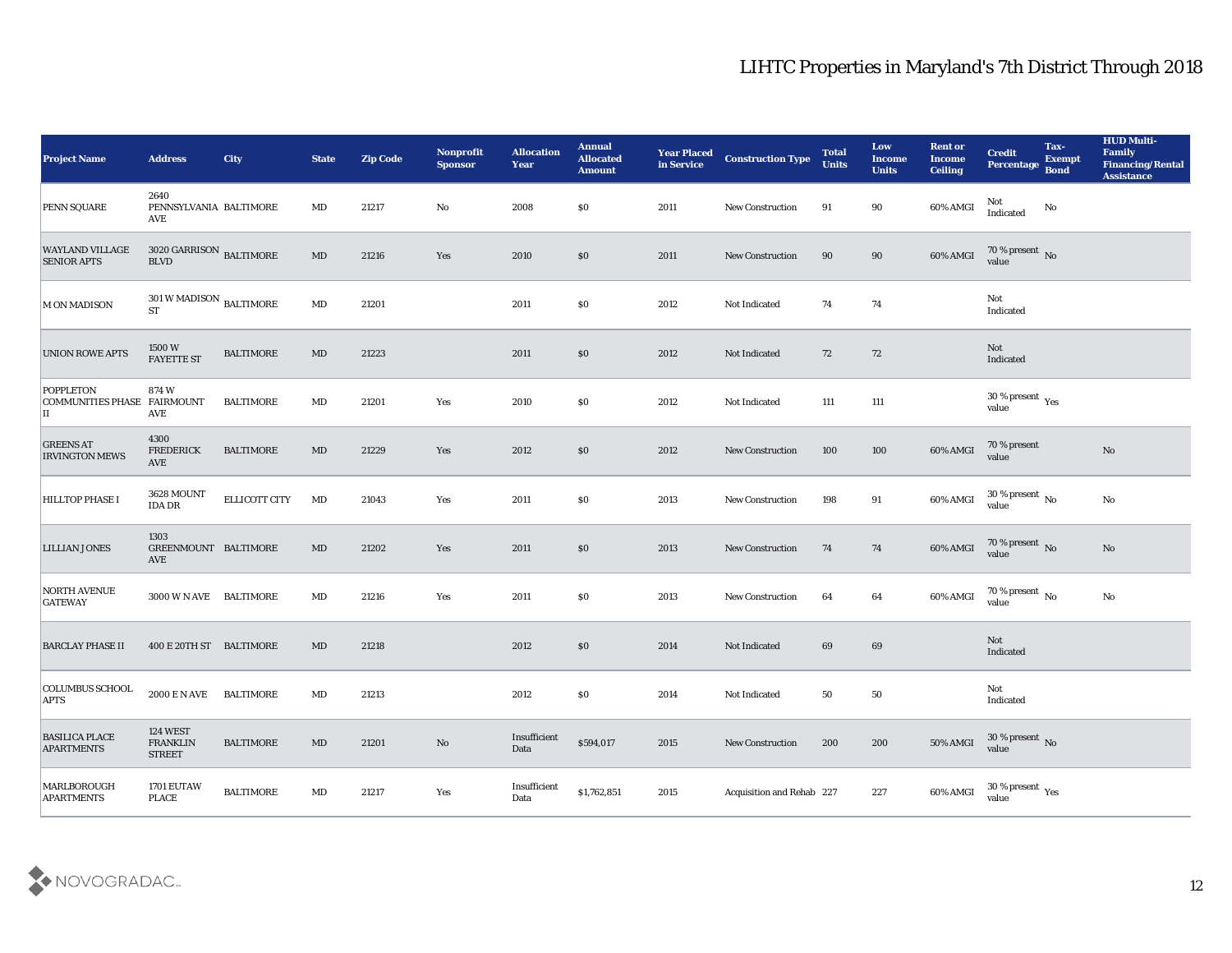| <b>Project Name</b>                                   | <b>Address</b>                                         | <b>City</b>      | <b>State</b>           | <b>Zip Code</b> | Nonprofit<br><b>Sponsor</b> | <b>Allocation</b><br><b>Year</b>            | <b>Annual</b><br><b>Allocated</b><br><b>Amount</b> | <b>Year Placed</b><br>in Service | <b>Construction Type</b>  | <b>Total</b><br><b>Units</b> | Low<br><b>Income</b><br><b>Units</b> | <b>Rent or</b><br><b>Income</b><br><b>Ceiling</b> | <b>Credit</b><br>Percentage      | Tax-<br><b>Exempt</b><br><b>Bond</b> | <b>HUD Multi-</b><br>Family<br><b>Financing/Rental</b><br><b>Assistance</b> |
|-------------------------------------------------------|--------------------------------------------------------|------------------|------------------------|-----------------|-----------------------------|---------------------------------------------|----------------------------------------------------|----------------------------------|---------------------------|------------------------------|--------------------------------------|---------------------------------------------------|----------------------------------|--------------------------------------|-----------------------------------------------------------------------------|
| PENN SQUARE                                           | 2640<br>PENNSYLVANIA BALTIMORE<br>AVE                  |                  | MD                     | 21217           | No                          | 2008                                        | \$0                                                | 2011                             | New Construction          | 91                           | 90                                   | 60% AMGI                                          | Not<br>Indicated                 | No                                   |                                                                             |
| <b>WAYLAND VILLAGE</b><br><b>SENIOR APTS</b>          | $3020$ GARRISON $\,$ BALTIMORE<br><b>BLVD</b>          |                  | MD                     | 21216           | Yes                         | 2010                                        | $\$0$                                              | 2011                             | <b>New Construction</b>   | 90                           | 90                                   | 60% AMGI                                          | $70\,\%$ present $\,$ No value   |                                      |                                                                             |
| <b>M ON MADISON</b>                                   | $301\,\rm{W}\,MADISON$ $_{\rm BALTIMORE}$<br><b>ST</b> |                  | $\mathbf{M}\mathbf{D}$ | 21201           |                             | 2011                                        | \$0                                                | 2012                             | Not Indicated             | 74                           | 74                                   |                                                   | Not<br>Indicated                 |                                      |                                                                             |
| <b>UNION ROWE APTS</b>                                | 1500W<br><b>FAYETTE ST</b>                             | <b>BALTIMORE</b> | MD                     | 21223           |                             | 2011                                        | \$0                                                | 2012                             | Not Indicated             | 72                           | 72                                   |                                                   | Not<br>Indicated                 |                                      |                                                                             |
| <b>POPPLETON</b><br>COMMUNITIES PHASE FAIRMOUNT<br>IΙ | 874W<br><b>AVE</b>                                     | <b>BALTIMORE</b> | MD                     | 21201           | Yes                         | 2010                                        | \$0                                                | 2012                             | Not Indicated             | 111                          | 111                                  |                                                   | $30\,\%$ present $\,$ Yes value  |                                      |                                                                             |
| <b>GREENS AT</b><br><b>IRVINGTON MEWS</b>             | 4300<br><b>FREDERICK</b><br>AVE                        | <b>BALTIMORE</b> | MD                     | 21229           | Yes                         | 2012                                        | $\$0$                                              | 2012                             | <b>New Construction</b>   | 100                          | 100                                  | 60% AMGI                                          | 70 % present<br>value            |                                      | No                                                                          |
| <b>HILLTOP PHASE I</b>                                | 3628 MOUNT<br><b>IDA DR</b>                            | ELLICOTT CITY    | MD                     | 21043           | Yes                         | 2011                                        | $\$0$                                              | 2013                             | New Construction          | 198                          | 91                                   | 60% AMGI                                          | $30\,\%$ present $\,$ No value   |                                      | No                                                                          |
| <b>LILLIAN JONES</b>                                  | 1303<br>GREENMOUNT BALTIMORE<br>AVE                    |                  | $\rm MD$               | 21202           | Yes                         | 2011                                        | $\$0$                                              | 2013                             | <b>New Construction</b>   | 74                           | 74                                   | 60% AMGI                                          | $70\,\%$ present $\,$ No value   |                                      | No                                                                          |
| <b>NORTH AVENUE</b><br><b>GATEWAY</b>                 | 3000 W N AVE BALTIMORE                                 |                  | MD                     | 21216           | Yes                         | 2011                                        | \$0                                                | 2013                             | <b>New Construction</b>   | 64                           | 64                                   | 60% AMGI                                          | $70\,\%$ present $\,$ No value   |                                      | No                                                                          |
| <b>BARCLAY PHASE II</b>                               | 400 E 20TH ST BALTIMORE                                |                  | MD                     | 21218           |                             | 2012                                        | $\$0$                                              | 2014                             | Not Indicated             | 69                           | 69                                   |                                                   | Not<br>Indicated                 |                                      |                                                                             |
| <b>COLUMBUS SCHOOL</b><br><b>APTS</b>                 | 2000 E N AVE BALTIMORE                                 |                  | MD                     | 21213           |                             | 2012                                        | \$0                                                | 2014                             | Not Indicated             | 50                           | 50                                   |                                                   | Not<br>Indicated                 |                                      |                                                                             |
| <b>BASILICA PLACE</b><br><b>APARTMENTS</b>            | <b>124 WEST</b><br><b>FRANKLIN</b><br><b>STREET</b>    | <b>BALTIMORE</b> | $\mathbf{M}\mathbf{D}$ | 21201           | $\mathbf {No}$              | $\label{lem:optimal} In sufficient$<br>Data | \$594,017                                          | 2015                             | New Construction          | 200                          | 200                                  | 50% AMGI                                          | $30\,\%$ present $\,$ No value   |                                      |                                                                             |
| MARLBOROUGH<br><b>APARTMENTS</b>                      | 1701 EUTAW<br><b>PLACE</b>                             | <b>BALTIMORE</b> | $\mathbf{M}\mathbf{D}$ | 21217           | Yes                         | Insufficient<br>$\mathbf{Data}$             | \$1,762,851                                        | 2015                             | Acquisition and Rehab 227 |                              | 227                                  | 60% AMGI                                          | 30 % present $\rm\,Yes$<br>value |                                      |                                                                             |

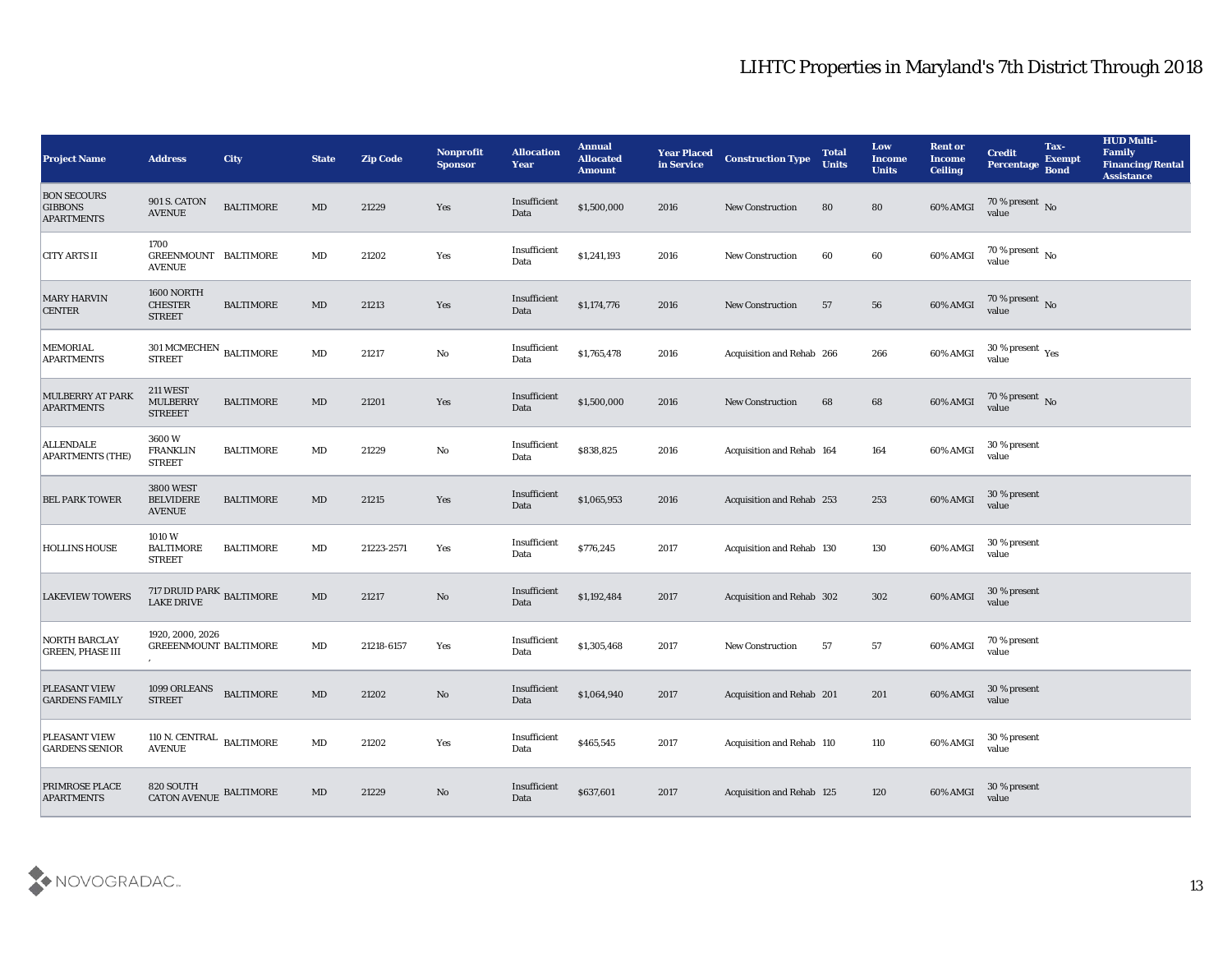| <b>Project Name</b>                                       | <b>Address</b>                                        | <b>City</b>      | <b>State</b>           | <b>Zip Code</b> | <b>Nonprofit</b><br><b>Sponsor</b> | <b>Allocation</b><br><b>Year</b> | <b>Annual</b><br><b>Allocated</b><br><b>Amount</b> | <b>Year Placed</b><br>in Service | <b>Construction Type</b>         | <b>Total</b><br><b>Units</b> | Low<br><b>Income</b><br><b>Units</b> | <b>Rent or</b><br><b>Income</b><br><b>Ceiling</b> | <b>Credit</b><br><b>Percentage</b> | Tax-<br><b>Exempt</b><br><b>Bond</b> | <b>HUD Multi-</b><br><b>Family</b><br><b>Financing/Rental</b><br><b>Assistance</b> |
|-----------------------------------------------------------|-------------------------------------------------------|------------------|------------------------|-----------------|------------------------------------|----------------------------------|----------------------------------------------------|----------------------------------|----------------------------------|------------------------------|--------------------------------------|---------------------------------------------------|------------------------------------|--------------------------------------|------------------------------------------------------------------------------------|
| <b>BON SECOURS</b><br><b>GIBBONS</b><br><b>APARTMENTS</b> | <b>901 S. CATON</b><br><b>AVENUE</b>                  | <b>BALTIMORE</b> | MD                     | 21229           | Yes                                | Insufficient<br>Data             | \$1,500,000                                        | 2016                             | <b>New Construction</b>          | 80                           | 80                                   | 60% AMGI                                          | 70 % present No<br>value           |                                      |                                                                                    |
| <b>CITY ARTS II</b>                                       | 1700<br>GREENMOUNT BALTIMORE<br><b>AVENUE</b>         |                  | MD                     | 21202           | Yes                                | Insufficient<br>Data             | \$1,241,193                                        | 2016                             | <b>New Construction</b>          | 60                           | 60                                   | 60% AMGI                                          | $70\,\% \,present \over value$     |                                      |                                                                                    |
| <b>MARY HARVIN</b><br><b>CENTER</b>                       | 1600 NORTH<br><b>CHESTER</b><br><b>STREET</b>         | <b>BALTIMORE</b> | $\rm MD$               | 21213           | Yes                                | Insufficient<br>Data             | \$1,174,776                                        | 2016                             | <b>New Construction</b>          | 57                           | 56                                   | 60% AMGI                                          | $70\%$ present No<br>value         |                                      |                                                                                    |
| <b>MEMORIAL</b><br><b>APARTMENTS</b>                      | $301\,\mathrm{MCMECHEN}$ BALTIMORE<br><b>STREET</b>   |                  | $\mathbf{M}\mathbf{D}$ | 21217           | No                                 | Insufficient<br>Data             | \$1,765,478                                        | 2016                             | Acquisition and Rehab 266        |                              | 266                                  | 60% AMGI                                          | $30\,\%$ present $\,$ Yes value    |                                      |                                                                                    |
| MULBERRY AT PARK<br><b>APARTMENTS</b>                     | <b>211 WEST</b><br><b>MULBERRY</b><br><b>STREEET</b>  | <b>BALTIMORE</b> | $\rm MD$               | 21201           | Yes                                | Insufficient<br>Data             | \$1,500,000                                        | 2016                             | <b>New Construction</b>          | 68                           | 68                                   | 60% AMGI                                          | $70\,\%$ present $\,$ No value     |                                      |                                                                                    |
| <b>APARTMENTS (THE)</b>                                   | 3600W<br><b>FRANKLIN</b><br><b>STREET</b>             | <b>BALTIMORE</b> | $\mathbf{M}\mathbf{D}$ | 21229           | No                                 | Insufficient<br>Data             | \$838,825                                          | 2016                             | Acquisition and Rehab 164        |                              | 164                                  | 60% AMGI                                          | 30 % present<br>value              |                                      |                                                                                    |
| <b>BEL PARK TOWER</b>                                     | <b>3800 WEST</b><br><b>BELVIDERE</b><br><b>AVENUE</b> | <b>BALTIMORE</b> | $\rm MD$               | 21215           | Yes                                | Insufficient<br>Data             | \$1,065,953                                        | 2016                             | Acquisition and Rehab 253        |                              | 253                                  | 60% AMGI                                          | 30 % present<br>value              |                                      |                                                                                    |
| <b>HOLLINS HOUSE</b>                                      | 1010W<br><b>BALTIMORE</b><br><b>STREET</b>            | <b>BALTIMORE</b> | MD                     | 21223-2571      | Yes                                | Insufficient<br>Data             | \$776,245                                          | 2017                             | <b>Acquisition and Rehab 130</b> |                              | 130                                  | 60% AMGI                                          | 30 % present<br>value              |                                      |                                                                                    |
| <b>LAKEVIEW TOWERS</b>                                    | 717 DRUID PARK BALTIMORE<br>LAKE DRIVE                |                  | MD                     | 21217           | No                                 | Insufficient<br>Data             | \$1,192,484                                        | 2017                             | Acquisition and Rehab 302        |                              | 302                                  | 60% AMGI                                          | 30 % present<br>value              |                                      |                                                                                    |
| <b>NORTH BARCLAY</b><br><b>GREEN, PHASE III</b>           | 1920, 2000, 2026<br><b>GREEENMOUNT BALTIMORE</b>      |                  | MD                     | 21218-6157      | Yes                                | Insufficient<br>Data             | \$1,305,468                                        | 2017                             | <b>New Construction</b>          | 57                           | 57                                   | 60% AMGI                                          | 70 % present<br>value              |                                      |                                                                                    |
| <b>PLEASANT VIEW</b><br><b>GARDENS FAMILY</b>             | 1099 ORLEANS<br><b>STREET</b>                         | <b>BALTIMORE</b> | MD                     | 21202           | No                                 | Insufficient<br>Data             | \$1,064,940                                        | 2017                             | Acquisition and Rehab 201        |                              | 201                                  | 60% AMGI                                          | 30 % present<br>value              |                                      |                                                                                    |
| <b>PLEASANT VIEW</b><br><b>GARDENS SENIOR</b>             | 110 N. CENTRAL BALTIMORE<br><b>AVENUE</b>             |                  | $\mathbf{M}\mathbf{D}$ | 21202           | $\mathbf{Yes}$                     | Insufficient<br>Data             | \$465,545                                          | 2017                             | Acquisition and Rehab 110        |                              | 110                                  | 60% AMGI                                          | 30 % present<br>value              |                                      |                                                                                    |
| PRIMROSE PLACE<br><b>APARTMENTS</b>                       | 820 SOUTH<br>CATON AVENUE BALTIMORE                   |                  | $\rm MD$               | 21229           | No                                 | Insufficient<br>Data             | \$637,601                                          | 2017                             | Acquisition and Rehab 125        |                              | 120                                  | 60% AMGI                                          | 30 % present<br>value              |                                      |                                                                                    |

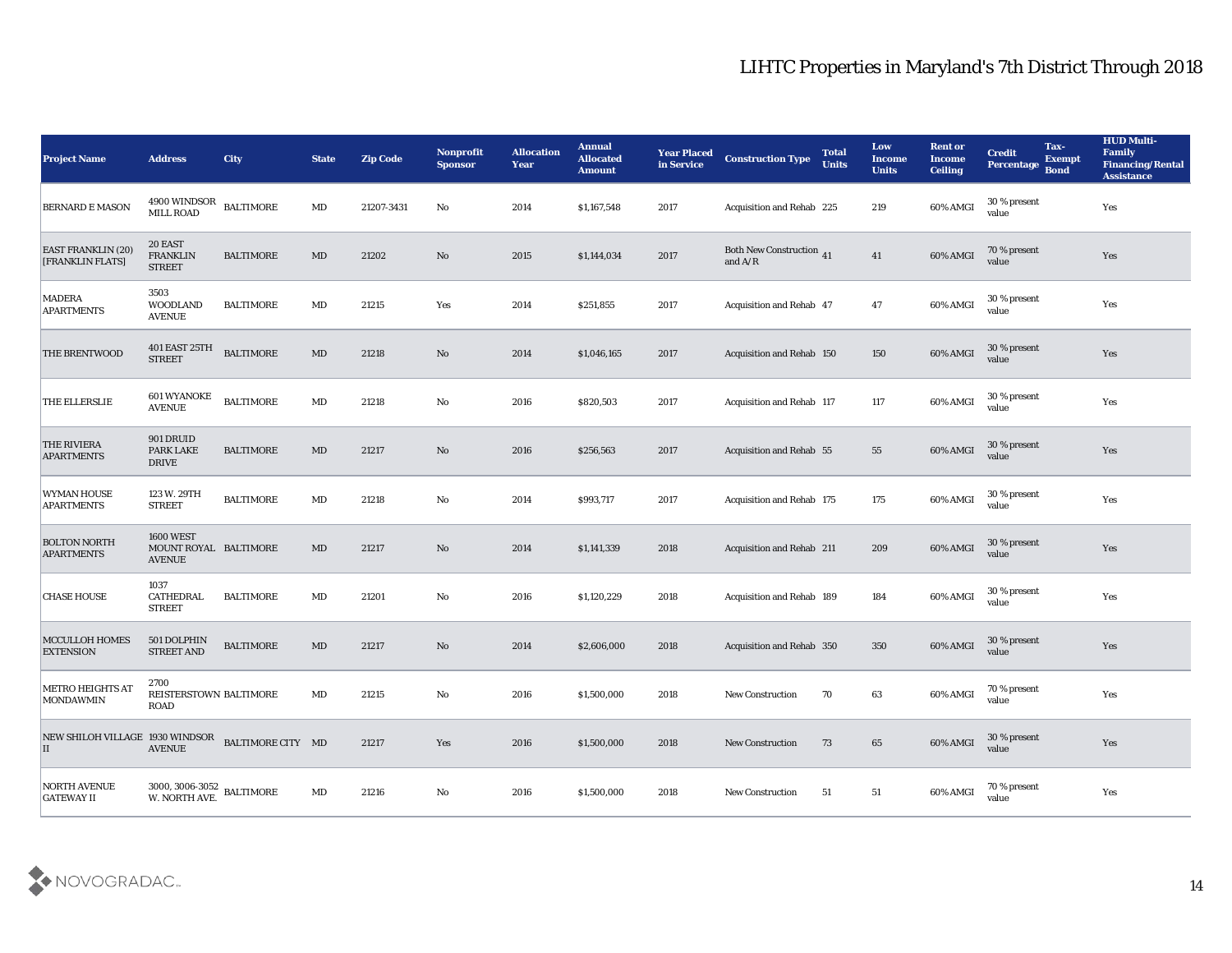| <b>Project Name</b>                                        | <b>Address</b>                                             | <b>City</b>      | <b>State</b> | <b>Zip Code</b> | <b>Nonprofit</b><br><b>Sponsor</b> | <b>Allocation</b><br><b>Year</b> | <b>Annual</b><br><b>Allocated</b><br><b>Amount</b> | <b>Year Placed</b><br>in Service | <b>Construction Type</b>                     | <b>Total</b><br><b>Units</b> | Low<br><b>Income</b><br><b>Units</b> | <b>Rent or</b><br><b>Income</b><br><b>Ceiling</b> | <b>Credit</b><br><b>Percentage</b> | Tax-<br><b>Exempt</b><br><b>Bond</b> | <b>HUD Multi-</b><br>Family<br><b>Financing/Rental</b><br><b>Assistance</b> |
|------------------------------------------------------------|------------------------------------------------------------|------------------|--------------|-----------------|------------------------------------|----------------------------------|----------------------------------------------------|----------------------------------|----------------------------------------------|------------------------------|--------------------------------------|---------------------------------------------------|------------------------------------|--------------------------------------|-----------------------------------------------------------------------------|
| <b>BERNARD E MASON</b>                                     | 4900 WINDSOR<br>MILL ROAD                                  | <b>BALTIMORE</b> | $\rm MD$     | 21207-3431      | No                                 | 2014                             | \$1,167,548                                        | 2017                             | Acquisition and Rehab 225                    |                              | 219                                  | 60% AMGI                                          | 30 % present<br>value              |                                      | Yes                                                                         |
| <b>EAST FRANKLIN (20)</b><br>[FRANKLIN FLATS]              | 20 EAST<br><b>FRANKLIN</b><br><b>STREET</b>                | <b>BALTIMORE</b> | MD           | 21202           | No                                 | 2015                             | \$1,144,034                                        | 2017                             | <b>Both New Construction 41</b><br>and $A/R$ |                              | 41                                   | 60% AMGI                                          | 70 % present<br>value              |                                      | Yes                                                                         |
| <b>MADERA</b><br><b>APARTMENTS</b>                         | 3503<br><b>WOODLAND</b><br><b>AVENUE</b>                   | <b>BALTIMORE</b> | MD           | 21215           | Yes                                | 2014                             | \$251,855                                          | 2017                             | <b>Acquisition and Rehab 47</b>              |                              | 47                                   | 60% AMGI                                          | 30 % present<br>value              |                                      | Yes                                                                         |
| <b>THE BRENTWOOD</b>                                       | <b>401 EAST 25TH</b><br><b>STREET</b>                      | <b>BALTIMORE</b> | MD           | 21218           | No                                 | 2014                             | \$1,046,165                                        | 2017                             | Acquisition and Rehab 150                    |                              | 150                                  | 60% AMGI                                          | 30 % present<br>value              |                                      | Yes                                                                         |
| THE ELLERSLIE                                              | <b>601 WYANOKE</b><br><b>AVENUE</b>                        | <b>BALTIMORE</b> | MD           | 21218           | $\mathbf{No}$                      | 2016                             | \$820,503                                          | 2017                             | Acquisition and Rehab 117                    |                              | 117                                  | 60% AMGI                                          | 30 % present<br>value              |                                      | Yes                                                                         |
| <b>THE RIVIERA</b><br><b>APARTMENTS</b>                    | 901 DRUID<br><b>PARK LAKE</b><br><b>DRIVE</b>              | <b>BALTIMORE</b> | MD           | 21217           | No                                 | 2016                             | \$256,563                                          | 2017                             | <b>Acquisition and Rehab 55</b>              |                              | 55                                   | 60% AMGI                                          | 30 % present<br>value              |                                      | Yes                                                                         |
| <b>WYMAN HOUSE</b><br><b>APARTMENTS</b>                    | 123 W. 29TH<br><b>STREET</b>                               | <b>BALTIMORE</b> | MD           | 21218           | No                                 | 2014                             | \$993,717                                          | 2017                             | Acquisition and Rehab 175                    |                              | 175                                  | 60% AMGI                                          | 30 % present<br>value              |                                      | Yes                                                                         |
| <b>BOLTON NORTH</b><br><b>APARTMENTS</b>                   | <b>1600 WEST</b><br>MOUNT ROYAL BALTIMORE<br><b>AVENUE</b> |                  | MD           | 21217           | No                                 | 2014                             | \$1,141,339                                        | 2018                             | Acquisition and Rehab 211                    |                              | 209                                  | 60% AMGI                                          | 30 % present<br>value              |                                      | Yes                                                                         |
| <b>CHASE HOUSE</b>                                         | 1037<br>CATHEDRAL<br><b>STREET</b>                         | <b>BALTIMORE</b> | MD           | 21201           | $\mathbf{No}$                      | 2016                             | \$1,120,229                                        | 2018                             | Acquisition and Rehab 189                    |                              | 184                                  | 60% AMGI                                          | 30 % present<br>value              |                                      | Yes                                                                         |
| MCCULLOH HOMES<br><b>EXTENSION</b>                         | 501 DOLPHIN<br><b>STREET AND</b>                           | <b>BALTIMORE</b> | MD           | 21217           | No                                 | 2014                             | \$2,606,000                                        | 2018                             | Acquisition and Rehab 350                    |                              | 350                                  | 60% AMGI                                          | 30 % present<br>value              |                                      | Yes                                                                         |
| <b>METRO HEIGHTS AT</b><br><b>MONDAWMIN</b>                | 2700<br>REISTERSTOWN BALTIMORE<br><b>ROAD</b>              |                  | MD           | 21215           | No                                 | 2016                             | \$1,500,000                                        | 2018                             | <b>New Construction</b>                      | 70                           | 63                                   | 60% AMGI                                          | 70 % present<br>value              |                                      | Yes                                                                         |
| NEW SHILOH VILLAGE 1930 WINDSOR<br>BALTIMORE CITY MD<br>II | <b>AVENUE</b>                                              |                  |              | 21217           | Yes                                | 2016                             | \$1,500,000                                        | 2018                             | <b>New Construction</b>                      | 73                           | 65                                   | 60% AMGI                                          | $30\,\%$ present value             |                                      | Yes                                                                         |
| <b>NORTH AVENUE</b><br><b>GATEWAY II</b>                   | $3000,\,3006$ - $3052$ BALTIMORE W. NORTH AVE.             |                  | MD           | 21216           | $\mathbf {No}$                     | 2016                             | \$1,500,000                                        | 2018                             | New Construction                             | 51                           | 51                                   | 60% AMGI                                          | 70 % present<br>value              |                                      | Yes                                                                         |